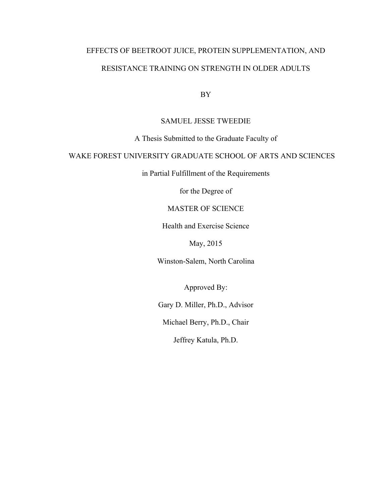# EFFECTS OF BEETROOT JUICE, PROTEIN SUPPLEMENTATION, AND RESISTANCE TRAINING ON STRENGTH IN OLDER ADULTS

BY

# SAMUEL JESSE TWEEDIE

# A Thesis Submitted to the Graduate Faculty of

# WAKE FOREST UNIVERSITY GRADUATE SCHOOL OF ARTS AND SCIENCES

in Partial Fulfillment of the Requirements

for the Degree of

# MASTER OF SCIENCE

Health and Exercise Science

May, 2015

Winston-Salem, North Carolina

Approved By:

Gary D. Miller, Ph.D., Advisor

Michael Berry, Ph.D., Chair

Jeffrey Katula, Ph.D.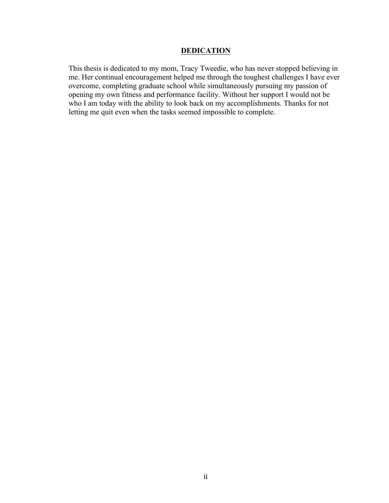# **DEDICATION**

This thesis is dedicated to my mom, Tracy Tweedie, who has never stopped believing in me. Her continual encouragement helped me through the toughest challenges I have ever overcome, completing graduate school while simultaneously pursuing my passion of opening my own fitness and performance facility. Without her support I would not be who I am today with the ability to look back on my accomplishments. Thanks for not letting me quit even when the tasks seemed impossible to complete.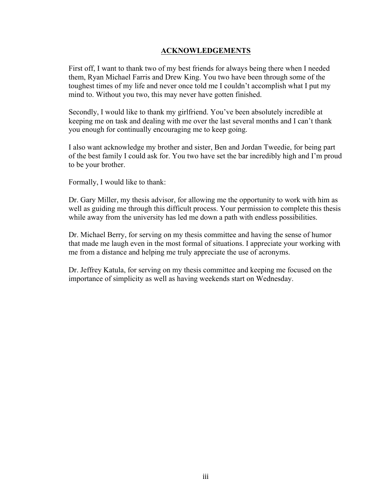# **ACKNOWLEDGEMENTS**

First off, I want to thank two of my best friends for always being there when I needed them, Ryan Michael Farris and Drew King. You two have been through some of the toughest times of my life and never once told me I couldn't accomplish what I put my mind to. Without you two, this may never have gotten finished.

Secondly, I would like to thank my girlfriend. You've been absolutely incredible at keeping me on task and dealing with me over the last several months and I can't thank you enough for continually encouraging me to keep going.

I also want acknowledge my brother and sister, Ben and Jordan Tweedie, for being part of the best family I could ask for. You two have set the bar incredibly high and I'm proud to be your brother.

Formally, I would like to thank:

Dr. Gary Miller, my thesis advisor, for allowing me the opportunity to work with him as well as guiding me through this difficult process. Your permission to complete this thesis while away from the university has led me down a path with endless possibilities.

Dr. Michael Berry, for serving on my thesis committee and having the sense of humor that made me laugh even in the most formal of situations. I appreciate your working with me from a distance and helping me truly appreciate the use of acronyms.

Dr. Jeffrey Katula, for serving on my thesis committee and keeping me focused on the importance of simplicity as well as having weekends start on Wednesday.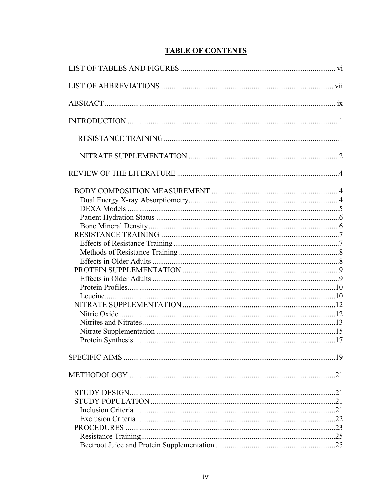# **TABLE OF CONTENTS**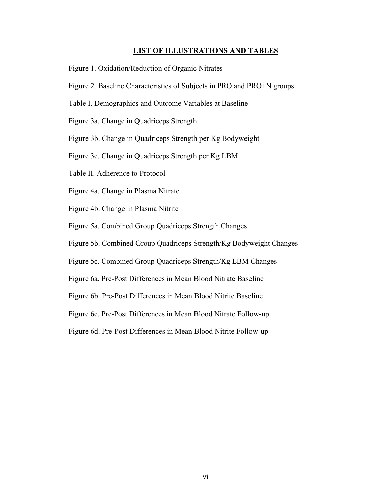## **LIST OF ILLUSTRATIONS AND TABLES**

- Figure 1. Oxidation/Reduction of Organic Nitrates
- Figure 2. Baseline Characteristics of Subjects in PRO and PRO+N groups
- Table I. Demographics and Outcome Variables at Baseline
- Figure 3a. Change in Quadriceps Strength
- Figure 3b. Change in Quadriceps Strength per Kg Bodyweight
- Figure 3c. Change in Quadriceps Strength per Kg LBM
- Table II. Adherence to Protocol
- Figure 4a. Change in Plasma Nitrate
- Figure 4b. Change in Plasma Nitrite
- Figure 5a. Combined Group Quadriceps Strength Changes
- Figure 5b. Combined Group Quadriceps Strength/Kg Bodyweight Changes
- Figure 5c. Combined Group Quadriceps Strength/Kg LBM Changes
- Figure 6a. Pre-Post Differences in Mean Blood Nitrate Baseline
- Figure 6b. Pre-Post Differences in Mean Blood Nitrite Baseline
- Figure 6c. Pre-Post Differences in Mean Blood Nitrate Follow-up
- Figure 6d. Pre-Post Differences in Mean Blood Nitrite Follow-up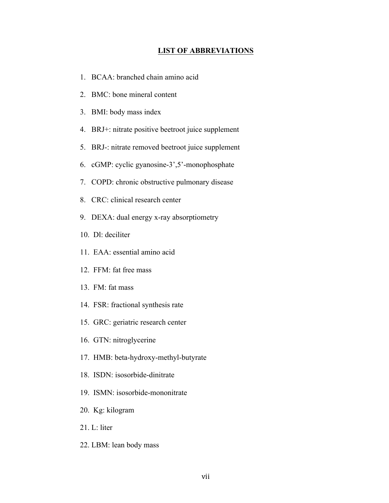# **LIST OF ABBREVIATIONS**

- 1. BCAA: branched chain amino acid
- 2. BMC: bone mineral content
- 3. BMI: body mass index
- 4. BRJ+: nitrate positive beetroot juice supplement
- 5. BRJ-: nitrate removed beetroot juice supplement
- 6. cGMP: cyclic gyanosine-3',5'-monophosphate
- 7. COPD: chronic obstructive pulmonary disease
- 8. CRC: clinical research center
- 9. DEXA: dual energy x-ray absorptiometry
- 10. Dl: deciliter
- 11. EAA: essential amino acid
- 12. FFM: fat free mass
- 13. FM: fat mass
- 14. FSR: fractional synthesis rate
- 15. GRC: geriatric research center
- 16. GTN: nitroglycerine
- 17. HMB: beta-hydroxy-methyl-butyrate
- 18. ISDN: isosorbide-dinitrate
- 19. ISMN: isosorbide-mononitrate
- 20. Kg: kilogram
- $21 \text{ L}$ : liter
- 22. LBM: lean body mass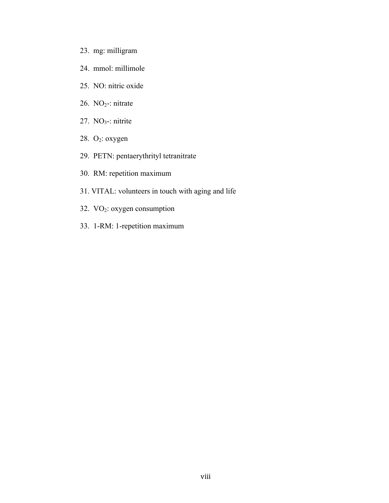- 23. mg: milligram
- 24. mmol: millimole
- 25. NO: nitric oxide
- 26. NO2-: nitrate
- 27.  $NO<sub>3</sub>$ -: nitrite
- 28. O2: oxygen
- 29. PETN: pentaerythrityl tetranitrate
- 30. RM: repetition maximum
- 31. VITAL: volunteers in touch with aging and life
- 32.  $VO<sub>2</sub>: oxygen consumption$
- 33. 1-RM: 1-repetition maximum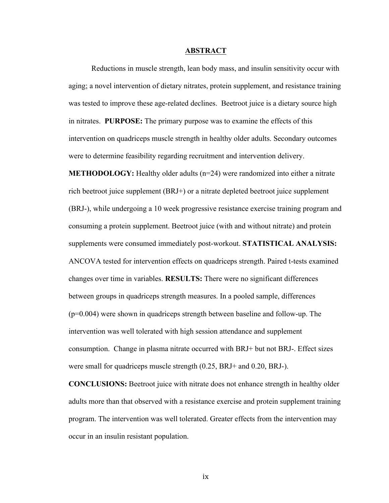#### **ABSTRACT**

Reductions in muscle strength, lean body mass, and insulin sensitivity occur with aging; a novel intervention of dietary nitrates, protein supplement, and resistance training was tested to improve these age-related declines. Beetroot juice is a dietary source high in nitrates. **PURPOSE:** The primary purpose was to examine the effects of this intervention on quadriceps muscle strength in healthy older adults. Secondary outcomes were to determine feasibility regarding recruitment and intervention delivery.

**METHODOLOGY:** Healthy older adults (n=24) were randomized into either a nitrate rich beetroot juice supplement (BRJ+) or a nitrate depleted beetroot juice supplement (BRJ-), while undergoing a 10 week progressive resistance exercise training program and consuming a protein supplement. Beetroot juice (with and without nitrate) and protein supplements were consumed immediately post-workout. **STATISTICAL ANALYSIS:** ANCOVA tested for intervention effects on quadriceps strength. Paired t-tests examined changes over time in variables. **RESULTS:** There were no significant differences between groups in quadriceps strength measures. In a pooled sample, differences (p=0.004) were shown in quadriceps strength between baseline and follow-up. The intervention was well tolerated with high session attendance and supplement consumption. Change in plasma nitrate occurred with BRJ+ but not BRJ-. Effect sizes were small for quadriceps muscle strength (0.25, BRJ+ and 0.20, BRJ-).

**CONCLUSIONS:** Beetroot juice with nitrate does not enhance strength in healthy older adults more than that observed with a resistance exercise and protein supplement training program. The intervention was well tolerated. Greater effects from the intervention may occur in an insulin resistant population.

ix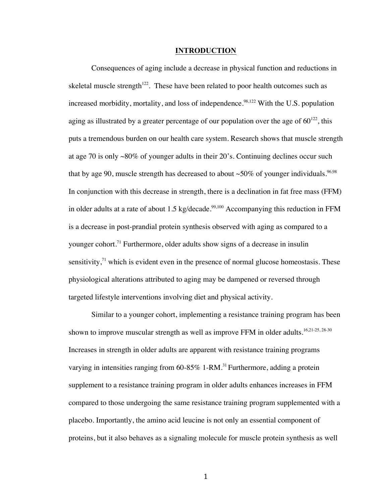#### **INTRODUCTION**

Consequences of aging include a decrease in physical function and reductions in skeletal muscle strength<sup>122</sup>. These have been related to poor health outcomes such as increased morbidity, mortality, and loss of independence.<sup>98,122</sup> With the U.S. population aging as illustrated by a greater percentage of our population over the age of  $60^{122}$ , this puts a tremendous burden on our health care system. Research shows that muscle strength at age 70 is only  $\sim 80\%$  of younger adults in their 20's. Continuing declines occur such that by age 90, muscle strength has decreased to about  $\sim$ 50% of younger individuals.<sup>96,98</sup> In conjunction with this decrease in strength, there is a declination in fat free mass (FFM) in older adults at a rate of about  $1.5$  kg/decade.<sup>99,100</sup> Accompanying this reduction in FFM is a decrease in post-prandial protein synthesis observed with aging as compared to a younger cohort. <sup>71</sup> Furthermore, older adults show signs of a decrease in insulin sensitivity, $\frac{1}{1}$  which is evident even in the presence of normal glucose homeostasis. These physiological alterations attributed to aging may be dampened or reversed through targeted lifestyle interventions involving diet and physical activity.

Similar to a younger cohort, implementing a resistance training program has been shown to improve muscular strength as well as improve FFM in older adults.<sup>16,21-25, 28-30</sup> Increases in strength in older adults are apparent with resistance training programs varying in intensities ranging from  $60-85\%$  1-RM.<sup>31</sup> Furthermore, adding a protein supplement to a resistance training program in older adults enhances increases in FFM compared to those undergoing the same resistance training program supplemented with a placebo. Importantly, the amino acid leucine is not only an essential component of proteins, but it also behaves as a signaling molecule for muscle protein synthesis as well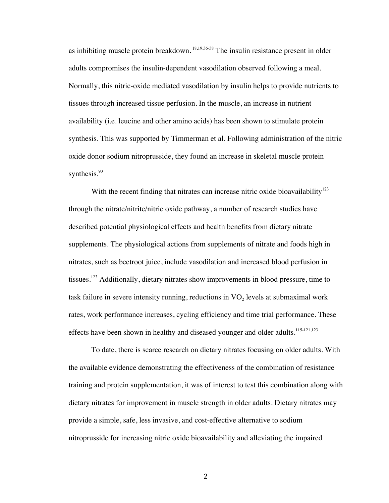as inhibiting muscle protein breakdown. <sup>18,19,36-38</sup> The insulin resistance present in older adults compromises the insulin-dependent vasodilation observed following a meal. Normally, this nitric-oxide mediated vasodilation by insulin helps to provide nutrients to tissues through increased tissue perfusion. In the muscle, an increase in nutrient availability (i.e. leucine and other amino acids) has been shown to stimulate protein synthesis. This was supported by Timmerman et al. Following administration of the nitric oxide donor sodium nitroprusside, they found an increase in skeletal muscle protein synthesis.<sup>90</sup>

With the recent finding that nitrates can increase nitric oxide bioavailability<sup>123</sup> through the nitrate/nitrite/nitric oxide pathway, a number of research studies have described potential physiological effects and health benefits from dietary nitrate supplements. The physiological actions from supplements of nitrate and foods high in nitrates, such as beetroot juice, include vasodilation and increased blood perfusion in tissues.<sup>123</sup> Additionally, dietary nitrates show improvements in blood pressure, time to task failure in severe intensity running, reductions in  $VO<sub>2</sub>$  levels at submaximal work rates, work performance increases, cycling efficiency and time trial performance. These effects have been shown in healthy and diseased younger and older adults.<sup>115-121,123</sup>

To date, there is scarce research on dietary nitrates focusing on older adults. With the available evidence demonstrating the effectiveness of the combination of resistance training and protein supplementation, it was of interest to test this combination along with dietary nitrates for improvement in muscle strength in older adults. Dietary nitrates may provide a simple, safe, less invasive, and cost-effective alternative to sodium nitroprusside for increasing nitric oxide bioavailability and alleviating the impaired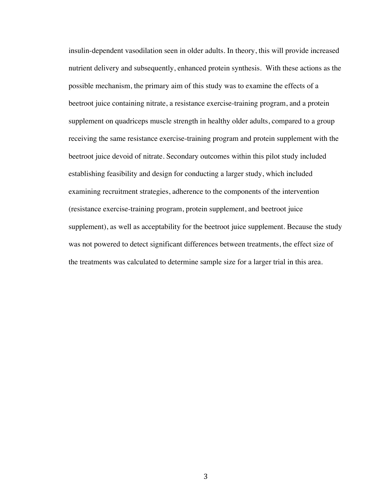insulin-dependent vasodilation seen in older adults. In theory, this will provide increased nutrient delivery and subsequently, enhanced protein synthesis. With these actions as the possible mechanism, the primary aim of this study was to examine the effects of a beetroot juice containing nitrate, a resistance exercise-training program, and a protein supplement on quadriceps muscle strength in healthy older adults, compared to a group receiving the same resistance exercise-training program and protein supplement with the beetroot juice devoid of nitrate. Secondary outcomes within this pilot study included establishing feasibility and design for conducting a larger study, which included examining recruitment strategies, adherence to the components of the intervention (resistance exercise-training program, protein supplement, and beetroot juice supplement), as well as acceptability for the beetroot juice supplement. Because the study was not powered to detect significant differences between treatments, the effect size of the treatments was calculated to determine sample size for a larger trial in this area.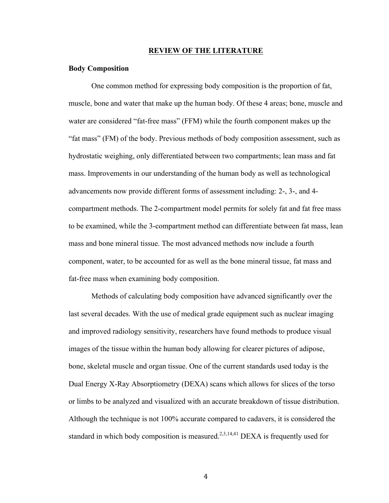#### **REVIEW OF THE LITERATURE**

#### **Body Composition**

One common method for expressing body composition is the proportion of fat, muscle, bone and water that make up the human body. Of these 4 areas; bone, muscle and water are considered "fat-free mass" (FFM) while the fourth component makes up the "fat mass" (FM) of the body. Previous methods of body composition assessment, such as hydrostatic weighing, only differentiated between two compartments; lean mass and fat mass. Improvements in our understanding of the human body as well as technological advancements now provide different forms of assessment including: 2-, 3-, and 4 compartment methods. The 2-compartment model permits for solely fat and fat free mass to be examined, while the 3-compartment method can differentiate between fat mass, lean mass and bone mineral tissue. The most advanced methods now include a fourth component, water, to be accounted for as well as the bone mineral tissue, fat mass and fat-free mass when examining body composition.

Methods of calculating body composition have advanced significantly over the last several decades. With the use of medical grade equipment such as nuclear imaging and improved radiology sensitivity, researchers have found methods to produce visual images of the tissue within the human body allowing for clearer pictures of adipose, bone, skeletal muscle and organ tissue. One of the current standards used today is the Dual Energy X-Ray Absorptiometry (DEXA) scans which allows for slices of the torso or limbs to be analyzed and visualized with an accurate breakdown of tissue distribution. Although the technique is not 100% accurate compared to cadavers, it is considered the standard in which body composition is measured.<sup>2,3,14,41</sup> DEXA is frequently used for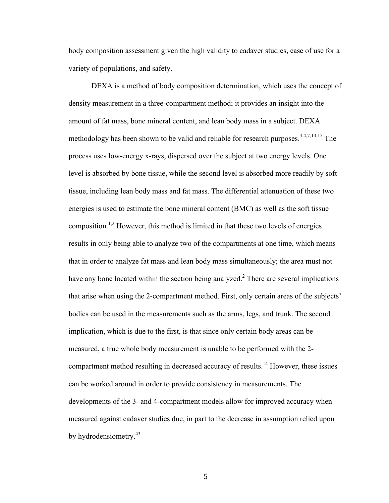body composition assessment given the high validity to cadaver studies, ease of use for a variety of populations, and safety.

DEXA is a method of body composition determination, which uses the concept of density measurement in a three-compartment method; it provides an insight into the amount of fat mass, bone mineral content, and lean body mass in a subject. DEXA methodology has been shown to be valid and reliable for research purposes.<sup>3,4,7,13,15</sup> The process uses low-energy x-rays, dispersed over the subject at two energy levels. One level is absorbed by bone tissue, while the second level is absorbed more readily by soft tissue, including lean body mass and fat mass. The differential attenuation of these two energies is used to estimate the bone mineral content (BMC) as well as the soft tissue composition.<sup>1,2</sup> However, this method is limited in that these two levels of energies results in only being able to analyze two of the compartments at one time, which means that in order to analyze fat mass and lean body mass simultaneously; the area must not have any bone located within the section being analyzed.<sup>2</sup> There are several implications that arise when using the 2-compartment method. First, only certain areas of the subjects' bodies can be used in the measurements such as the arms, legs, and trunk. The second implication, which is due to the first, is that since only certain body areas can be measured, a true whole body measurement is unable to be performed with the 2 compartment method resulting in decreased accuracy of results.<sup>14</sup> However, these issues can be worked around in order to provide consistency in measurements. The developments of the 3- and 4-compartment models allow for improved accuracy when measured against cadaver studies due, in part to the decrease in assumption relied upon by hydrodensiometry.<sup>43</sup>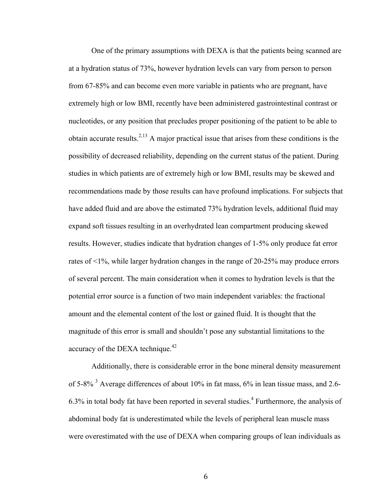One of the primary assumptions with DEXA is that the patients being scanned are at a hydration status of 73%, however hydration levels can vary from person to person from 67-85% and can become even more variable in patients who are pregnant, have extremely high or low BMI, recently have been administered gastrointestinal contrast or nucleotides, or any position that precludes proper positioning of the patient to be able to obtain accurate results.<sup>2,13</sup> A major practical issue that arises from these conditions is the possibility of decreased reliability, depending on the current status of the patient. During studies in which patients are of extremely high or low BMI, results may be skewed and recommendations made by those results can have profound implications. For subjects that have added fluid and are above the estimated 73% hydration levels, additional fluid may expand soft tissues resulting in an overhydrated lean compartment producing skewed results. However, studies indicate that hydration changes of 1-5% only produce fat error rates of <1%, while larger hydration changes in the range of 20-25% may produce errors of several percent. The main consideration when it comes to hydration levels is that the potential error source is a function of two main independent variables: the fractional amount and the elemental content of the lost or gained fluid. It is thought that the magnitude of this error is small and shouldn't pose any substantial limitations to the accuracy of the DEXA technique. $42$ 

Additionally, there is considerable error in the bone mineral density measurement of 5-8%  $3$  Average differences of about 10% in fat mass, 6% in lean tissue mass, and 2.6- $6.3\%$  in total body fat have been reported in several studies.<sup>4</sup> Furthermore, the analysis of abdominal body fat is underestimated while the levels of peripheral lean muscle mass were overestimated with the use of DEXA when comparing groups of lean individuals as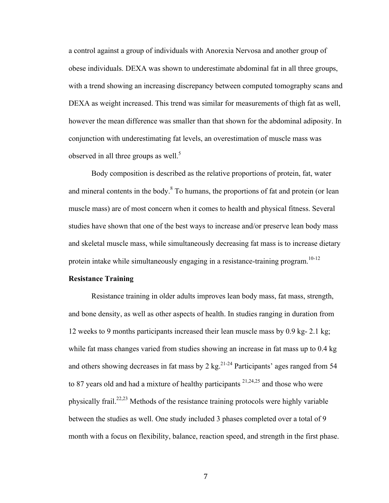a control against a group of individuals with Anorexia Nervosa and another group of obese individuals. DEXA was shown to underestimate abdominal fat in all three groups, with a trend showing an increasing discrepancy between computed tomography scans and DEXA as weight increased. This trend was similar for measurements of thigh fat as well, however the mean difference was smaller than that shown for the abdominal adiposity. In conjunction with underestimating fat levels, an overestimation of muscle mass was observed in all three groups as well.<sup>5</sup>

Body composition is described as the relative proportions of protein, fat, water and mineral contents in the body.<sup>8</sup> To humans, the proportions of fat and protein (or lean muscle mass) are of most concern when it comes to health and physical fitness. Several studies have shown that one of the best ways to increase and/or preserve lean body mass and skeletal muscle mass, while simultaneously decreasing fat mass is to increase dietary protein intake while simultaneously engaging in a resistance-training program.<sup>10-12</sup>

#### **Resistance Training**

Resistance training in older adults improves lean body mass, fat mass, strength, and bone density, as well as other aspects of health. In studies ranging in duration from 12 weeks to 9 months participants increased their lean muscle mass by 0.9 kg- 2.1 kg; while fat mass changes varied from studies showing an increase in fat mass up to  $0.4 \text{ kg}$ and others showing decreases in fat mass by 2 kg.<sup>21-24</sup> Participants' ages ranged from 54 to 87 years old and had a mixture of healthy participants  $2^{1,24,25}$  and those who were physically frail.<sup>22,23</sup> Methods of the resistance training protocols were highly variable between the studies as well. One study included 3 phases completed over a total of 9 month with a focus on flexibility, balance, reaction speed, and strength in the first phase.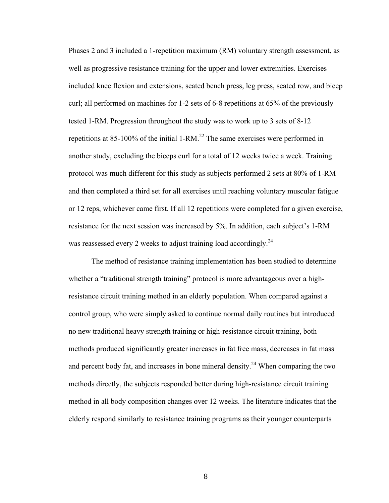Phases 2 and 3 included a 1-repetition maximum (RM) voluntary strength assessment, as well as progressive resistance training for the upper and lower extremities. Exercises included knee flexion and extensions, seated bench press, leg press, seated row, and bicep curl; all performed on machines for 1-2 sets of 6-8 repetitions at 65% of the previously tested 1-RM. Progression throughout the study was to work up to 3 sets of 8-12 repetitions at 85-100% of the initial 1-RM.<sup>22</sup> The same exercises were performed in another study, excluding the biceps curl for a total of 12 weeks twice a week. Training protocol was much different for this study as subjects performed 2 sets at 80% of 1-RM and then completed a third set for all exercises until reaching voluntary muscular fatigue or 12 reps, whichever came first. If all 12 repetitions were completed for a given exercise, resistance for the next session was increased by 5%. In addition, each subject's 1-RM was reassessed every 2 weeks to adjust training load accordingly.<sup>24</sup>

The method of resistance training implementation has been studied to determine whether a "traditional strength training" protocol is more advantageous over a highresistance circuit training method in an elderly population. When compared against a control group, who were simply asked to continue normal daily routines but introduced no new traditional heavy strength training or high-resistance circuit training, both methods produced significantly greater increases in fat free mass, decreases in fat mass and percent body fat, and increases in bone mineral density.<sup>24</sup> When comparing the two methods directly, the subjects responded better during high-resistance circuit training method in all body composition changes over 12 weeks. The literature indicates that the elderly respond similarly to resistance training programs as their younger counterparts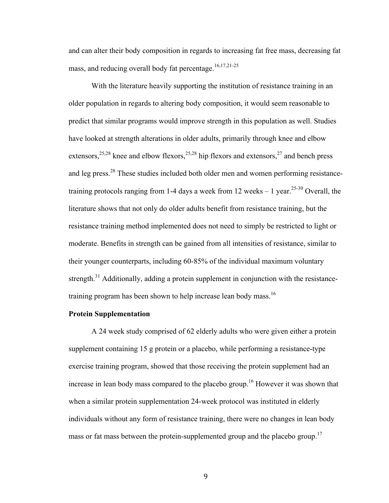and can alter their body composition in regards to increasing fat free mass, decreasing fat mass, and reducing overall body fat percentage.<sup>16,17,21-25</sup>

With the literature heavily supporting the institution of resistance training in an older population in regards to altering body composition, it would seem reasonable to predict that similar programs would improve strength in this population as well. Studies have looked at strength alterations in older adults, primarily through knee and elbow extensors,  $25,28$  knee and elbow flexors,  $25,28$  hip flexors and extensors,  $27$  and bench press and leg press.<sup>28</sup> These studies included both older men and women performing resistancetraining protocols ranging from 1-4 days a week from 12 weeks – 1 year.<sup>25-30</sup> Overall, the literature shows that not only do older adults benefit from resistance training, but the resistance training method implemented does not need to simply be restricted to light or moderate. Benefits in strength can be gained from all intensities of resistance, similar to their younger counterparts, including 60-85% of the individual maximum voluntary strength.<sup>31</sup> Additionally, adding a protein supplement in conjunction with the resistancetraining program has been shown to help increase lean body mass.<sup>16</sup>

# **Protein Supplementation**

A 24 week study comprised of 62 elderly adults who were given either a protein supplement containing 15 g protein or a placebo, while performing a resistance-type exercise training program, showed that those receiving the protein supplement had an increase in lean body mass compared to the placebo group.<sup>16</sup> However it was shown that when a similar protein supplementation 24-week protocol was instituted in elderly individuals without any form of resistance training, there were no changes in lean body mass or fat mass between the protein-supplemented group and the placebo group.<sup>17</sup>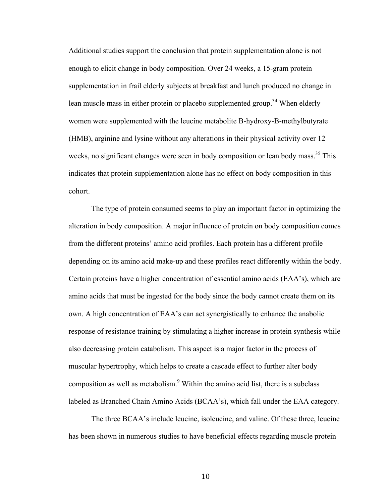Additional studies support the conclusion that protein supplementation alone is not enough to elicit change in body composition. Over 24 weeks, a 15-gram protein supplementation in frail elderly subjects at breakfast and lunch produced no change in lean muscle mass in either protein or placebo supplemented group.<sup>34</sup> When elderly women were supplemented with the leucine metabolite B-hydroxy-B-methylbutyrate (HMB), arginine and lysine without any alterations in their physical activity over 12 weeks, no significant changes were seen in body composition or lean body mass.<sup>35</sup> This indicates that protein supplementation alone has no effect on body composition in this cohort.

The type of protein consumed seems to play an important factor in optimizing the alteration in body composition. A major influence of protein on body composition comes from the different proteins' amino acid profiles. Each protein has a different profile depending on its amino acid make-up and these profiles react differently within the body. Certain proteins have a higher concentration of essential amino acids (EAA's), which are amino acids that must be ingested for the body since the body cannot create them on its own. A high concentration of EAA's can act synergistically to enhance the anabolic response of resistance training by stimulating a higher increase in protein synthesis while also decreasing protein catabolism. This aspect is a major factor in the process of muscular hypertrophy, which helps to create a cascade effect to further alter body composition as well as metabolism.<sup>9</sup> Within the amino acid list, there is a subclass labeled as Branched Chain Amino Acids (BCAA's), which fall under the EAA category.

The three BCAA's include leucine, isoleucine, and valine. Of these three, leucine has been shown in numerous studies to have beneficial effects regarding muscle protein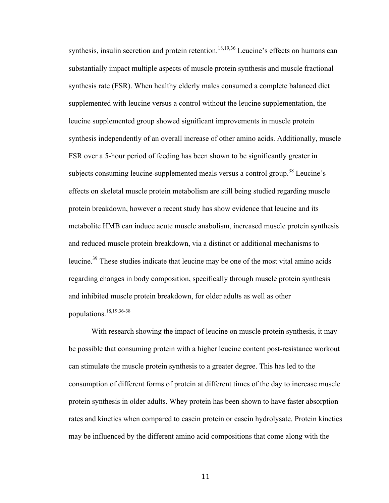synthesis, insulin secretion and protein retention.<sup>18,19,36</sup> Leucine's effects on humans can substantially impact multiple aspects of muscle protein synthesis and muscle fractional synthesis rate (FSR). When healthy elderly males consumed a complete balanced diet supplemented with leucine versus a control without the leucine supplementation, the leucine supplemented group showed significant improvements in muscle protein synthesis independently of an overall increase of other amino acids. Additionally, muscle FSR over a 5-hour period of feeding has been shown to be significantly greater in subjects consuming leucine-supplemented meals versus a control group.<sup>38</sup> Leucine's effects on skeletal muscle protein metabolism are still being studied regarding muscle protein breakdown, however a recent study has show evidence that leucine and its metabolite HMB can induce acute muscle anabolism, increased muscle protein synthesis and reduced muscle protein breakdown, via a distinct or additional mechanisms to leucine.<sup>39</sup> These studies indicate that leucine may be one of the most vital amino acids regarding changes in body composition, specifically through muscle protein synthesis and inhibited muscle protein breakdown, for older adults as well as other populations.18,19,36-38

With research showing the impact of leucine on muscle protein synthesis, it may be possible that consuming protein with a higher leucine content post-resistance workout can stimulate the muscle protein synthesis to a greater degree. This has led to the consumption of different forms of protein at different times of the day to increase muscle protein synthesis in older adults. Whey protein has been shown to have faster absorption rates and kinetics when compared to casein protein or casein hydrolysate. Protein kinetics may be influenced by the different amino acid compositions that come along with the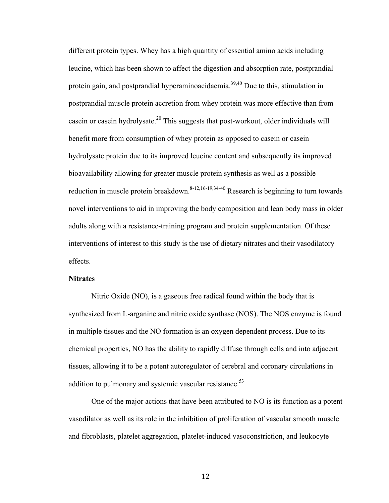different protein types. Whey has a high quantity of essential amino acids including leucine, which has been shown to affect the digestion and absorption rate, postprandial protein gain, and postprandial hyperaminoacidaemia.39,40 Due to this, stimulation in postprandial muscle protein accretion from whey protein was more effective than from casein or casein hydrolysate.<sup>20</sup> This suggests that post-workout, older individuals will benefit more from consumption of whey protein as opposed to casein or casein hydrolysate protein due to its improved leucine content and subsequently its improved bioavailability allowing for greater muscle protein synthesis as well as a possible reduction in muscle protein breakdown.<sup>8-12,16-19,34-40</sup> Research is beginning to turn towards novel interventions to aid in improving the body composition and lean body mass in older adults along with a resistance-training program and protein supplementation. Of these interventions of interest to this study is the use of dietary nitrates and their vasodilatory effects.

#### **Nitrates**

Nitric Oxide (NO), is a gaseous free radical found within the body that is synthesized from L-arganine and nitric oxide synthase (NOS). The NOS enzyme is found in multiple tissues and the NO formation is an oxygen dependent process. Due to its chemical properties, NO has the ability to rapidly diffuse through cells and into adjacent tissues, allowing it to be a potent autoregulator of cerebral and coronary circulations in addition to pulmonary and systemic vascular resistance.<sup>53</sup>

One of the major actions that have been attributed to NO is its function as a potent vasodilator as well as its role in the inhibition of proliferation of vascular smooth muscle and fibroblasts, platelet aggregation, platelet-induced vasoconstriction, and leukocyte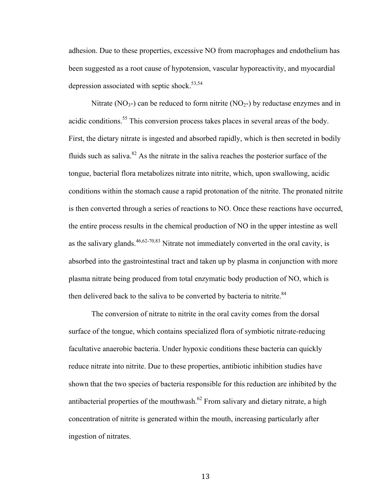adhesion. Due to these properties, excessive NO from macrophages and endothelium has been suggested as a root cause of hypotension, vascular hyporeactivity, and myocardial depression associated with septic shock.<sup>53,54</sup>

Nitrate (NO<sub>3</sub>-) can be reduced to form nitrite (NO<sub>2</sub>-) by reductase enzymes and in acidic conditions.<sup>55</sup> This conversion process takes places in several areas of the body. First, the dietary nitrate is ingested and absorbed rapidly, which is then secreted in bodily fluids such as saliva. $82$  As the nitrate in the saliva reaches the posterior surface of the tongue, bacterial flora metabolizes nitrate into nitrite, which, upon swallowing, acidic conditions within the stomach cause a rapid protonation of the nitrite. The pronated nitrite is then converted through a series of reactions to NO. Once these reactions have occurred, the entire process results in the chemical production of NO in the upper intestine as well as the salivary glands.  $46,62-70,83$  Nitrate not immediately converted in the oral cavity, is absorbed into the gastrointestinal tract and taken up by plasma in conjunction with more plasma nitrate being produced from total enzymatic body production of NO, which is then delivered back to the saliva to be converted by bacteria to nitrite.<sup>84</sup>

The conversion of nitrate to nitrite in the oral cavity comes from the dorsal surface of the tongue, which contains specialized flora of symbiotic nitrate-reducing facultative anaerobic bacteria. Under hypoxic conditions these bacteria can quickly reduce nitrate into nitrite. Due to these properties, antibiotic inhibition studies have shown that the two species of bacteria responsible for this reduction are inhibited by the antibacterial properties of the mouthwash.<sup> $62$ </sup> From salivary and dietary nitrate, a high concentration of nitrite is generated within the mouth, increasing particularly after ingestion of nitrates.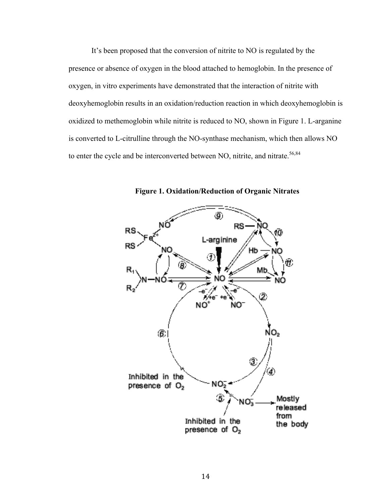It's been proposed that the conversion of nitrite to NO is regulated by the presence or absence of oxygen in the blood attached to hemoglobin. In the presence of oxygen, in vitro experiments have demonstrated that the interaction of nitrite with deoxyhemoglobin results in an oxidation/reduction reaction in which deoxyhemoglobin is oxidized to methemoglobin while nitrite is reduced to NO, shown in Figure 1. L-arganine is converted to L-citrulline through the NO-synthase mechanism, which then allows NO to enter the cycle and be interconverted between NO, nitrite, and nitrate.<sup>56,84</sup>



**Figure 1. Oxidation/Reduction of Organic Nitrates**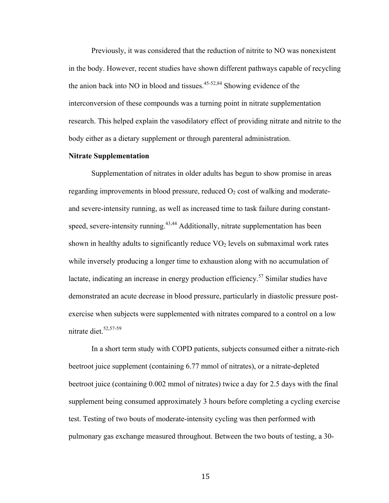Previously, it was considered that the reduction of nitrite to NO was nonexistent in the body. However, recent studies have shown different pathways capable of recycling the anion back into NO in blood and tissues.<sup>45-52,84</sup> Showing evidence of the interconversion of these compounds was a turning point in nitrate supplementation research. This helped explain the vasodilatory effect of providing nitrate and nitrite to the body either as a dietary supplement or through parenteral administration.

## **Nitrate Supplementation**

Supplementation of nitrates in older adults has begun to show promise in areas regarding improvements in blood pressure, reduced  $O<sub>2</sub>$  cost of walking and moderateand severe-intensity running, as well as increased time to task failure during constantspeed, severe-intensity running.<sup> $43,44$ </sup> Additionally, nitrate supplementation has been shown in healthy adults to significantly reduce  $VO<sub>2</sub>$  levels on submaximal work rates while inversely producing a longer time to exhaustion along with no accumulation of lactate, indicating an increase in energy production efficiency.<sup>57</sup> Similar studies have demonstrated an acute decrease in blood pressure, particularly in diastolic pressure postexercise when subjects were supplemented with nitrates compared to a control on a low nitrate diet.<sup>52,57-59</sup>

In a short term study with COPD patients, subjects consumed either a nitrate-rich beetroot juice supplement (containing 6.77 mmol of nitrates), or a nitrate-depleted beetroot juice (containing 0.002 mmol of nitrates) twice a day for 2.5 days with the final supplement being consumed approximately 3 hours before completing a cycling exercise test. Testing of two bouts of moderate-intensity cycling was then performed with pulmonary gas exchange measured throughout. Between the two bouts of testing, a 30-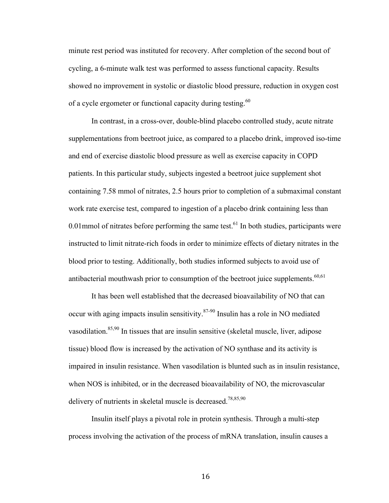minute rest period was instituted for recovery. After completion of the second bout of cycling, a 6-minute walk test was performed to assess functional capacity. Results showed no improvement in systolic or diastolic blood pressure, reduction in oxygen cost of a cycle ergometer or functional capacity during testing.<sup>60</sup>

In contrast, in a cross-over, double-blind placebo controlled study, acute nitrate supplementations from beetroot juice, as compared to a placebo drink, improved iso-time and end of exercise diastolic blood pressure as well as exercise capacity in COPD patients. In this particular study, subjects ingested a beetroot juice supplement shot containing 7.58 mmol of nitrates, 2.5 hours prior to completion of a submaximal constant work rate exercise test, compared to ingestion of a placebo drink containing less than 0.01 mmol of nitrates before performing the same test.<sup>61</sup> In both studies, participants were instructed to limit nitrate-rich foods in order to minimize effects of dietary nitrates in the blood prior to testing. Additionally, both studies informed subjects to avoid use of antibacterial mouthwash prior to consumption of the beetroot juice supplements.<sup>60,61</sup>

It has been well established that the decreased bioavailability of NO that can occur with aging impacts insulin sensitivity. $87-90$  Insulin has a role in NO mediated vasodilation.<sup>85,90</sup> In tissues that are insulin sensitive (skeletal muscle, liver, adipose tissue) blood flow is increased by the activation of NO synthase and its activity is impaired in insulin resistance. When vasodilation is blunted such as in insulin resistance, when NOS is inhibited, or in the decreased bioavailability of NO, the microvascular delivery of nutrients in skeletal muscle is decreased.<sup>78,85,90</sup>

Insulin itself plays a pivotal role in protein synthesis. Through a multi-step process involving the activation of the process of mRNA translation, insulin causes a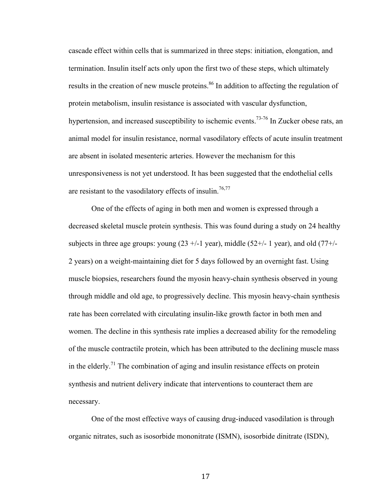cascade effect within cells that is summarized in three steps: initiation, elongation, and termination. Insulin itself acts only upon the first two of these steps, which ultimately results in the creation of new muscle proteins.<sup>86</sup> In addition to affecting the regulation of protein metabolism, insulin resistance is associated with vascular dysfunction, hypertension, and increased susceptibility to ischemic events.<sup>73-76</sup> In Zucker obese rats, an animal model for insulin resistance, normal vasodilatory effects of acute insulin treatment are absent in isolated mesenteric arteries. However the mechanism for this unresponsiveness is not yet understood. It has been suggested that the endothelial cells are resistant to the vasodilatory effects of insulin.<sup>76,77</sup>

One of the effects of aging in both men and women is expressed through a decreased skeletal muscle protein synthesis. This was found during a study on 24 healthy subjects in three age groups: young  $(23 +/1$  year), middle  $(52 +/1$  year), and old  $(77 +/1)$ 2 years) on a weight-maintaining diet for 5 days followed by an overnight fast. Using muscle biopsies, researchers found the myosin heavy-chain synthesis observed in young through middle and old age, to progressively decline. This myosin heavy-chain synthesis rate has been correlated with circulating insulin-like growth factor in both men and women. The decline in this synthesis rate implies a decreased ability for the remodeling of the muscle contractile protein, which has been attributed to the declining muscle mass in the elderly.<sup>71</sup> The combination of aging and insulin resistance effects on protein synthesis and nutrient delivery indicate that interventions to counteract them are necessary.

One of the most effective ways of causing drug-induced vasodilation is through organic nitrates, such as isosorbide mononitrate (ISMN), isosorbide dinitrate (ISDN),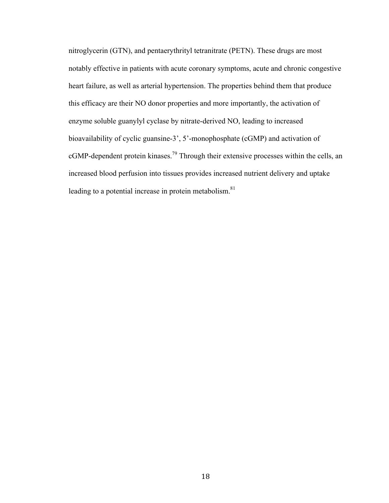nitroglycerin (GTN), and pentaerythrityl tetranitrate (PETN). These drugs are most notably effective in patients with acute coronary symptoms, acute and chronic congestive heart failure, as well as arterial hypertension. The properties behind them that produce this efficacy are their NO donor properties and more importantly, the activation of enzyme soluble guanylyl cyclase by nitrate-derived NO, leading to increased bioavailability of cyclic guansine-3', 5'-monophosphate (cGMP) and activation of cGMP-dependent protein kinases.<sup>79</sup> Through their extensive processes within the cells, an increased blood perfusion into tissues provides increased nutrient delivery and uptake leading to a potential increase in protein metabolism. $81$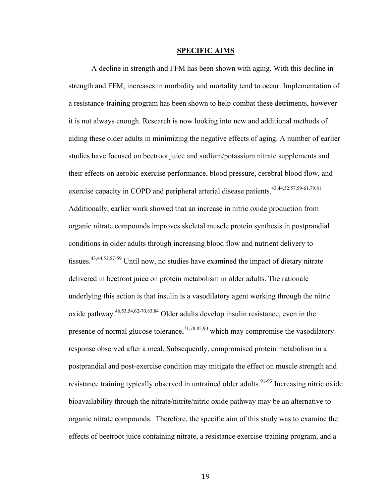#### **SPECIFIC AIMS**

A decline in strength and FFM has been shown with aging. With this decline in strength and FFM, increases in morbidity and mortality tend to occur. Implementation of a resistance-training program has been shown to help combat these detriments, however it is not always enough. Research is now looking into new and additional methods of aiding these older adults in minimizing the negative effects of aging. A number of earlier studies have focused on beetroot juice and sodium/potassium nitrate supplements and their effects on aerobic exercise performance, blood pressure, cerebral blood flow, and exercise capacity in COPD and peripheral arterial disease patients.<sup>43,44,52,57,59-61,79,81</sup> Additionally, earlier work showed that an increase in nitric oxide production from organic nitrate compounds improves skeletal muscle protein synthesis in postprandial conditions in older adults through increasing blood flow and nutrient delivery to tissues.<sup>43,44,52,57-59</sup> Until now, no studies have examined the impact of dietary nitrate delivered in beetroot juice on protein metabolism in older adults. The rationale underlying this action is that insulin is a vasodilatory agent working through the nitric oxide pathway.46,53,54,62-70,83,84 Older adults develop insulin resistance, even in the presence of normal glucose tolerance,  $7^{1,78,85,90}$  which may compromise the vasodilatory response observed after a meal. Subsequently, compromised protein metabolism in a postprandial and post-exercise condition may mitigate the effect on muscle strength and resistance training typically observed in untrained older adults.<sup>91-93</sup> Increasing nitric oxide bioavailability through the nitrate/nitrite/nitric oxide pathway may be an alternative to organic nitrate compounds. Therefore, the specific aim of this study was to examine the effects of beetroot juice containing nitrate, a resistance exercise-training program, and a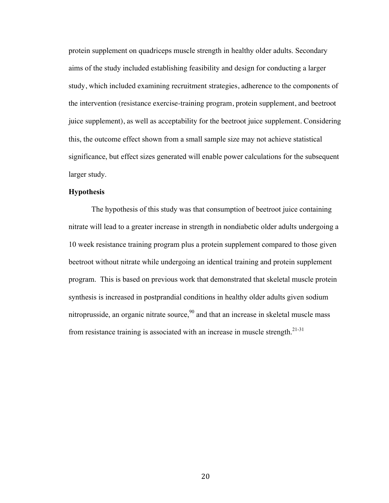protein supplement on quadriceps muscle strength in healthy older adults. Secondary aims of the study included establishing feasibility and design for conducting a larger study, which included examining recruitment strategies, adherence to the components of the intervention (resistance exercise-training program, protein supplement, and beetroot juice supplement), as well as acceptability for the beetroot juice supplement. Considering this, the outcome effect shown from a small sample size may not achieve statistical significance, but effect sizes generated will enable power calculations for the subsequent larger study.

# **Hypothesis**

The hypothesis of this study was that consumption of beetroot juice containing nitrate will lead to a greater increase in strength in nondiabetic older adults undergoing a 10 week resistance training program plus a protein supplement compared to those given beetroot without nitrate while undergoing an identical training and protein supplement program. This is based on previous work that demonstrated that skeletal muscle protein synthesis is increased in postprandial conditions in healthy older adults given sodium nitroprusside, an organic nitrate source,<sup>90</sup> and that an increase in skeletal muscle mass from resistance training is associated with an increase in muscle strength.<sup>21-31</sup>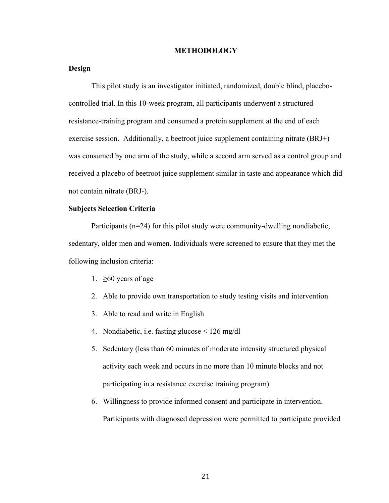#### **METHODOLOGY**

# **Design**

This pilot study is an investigator initiated, randomized, double blind, placebocontrolled trial. In this 10-week program, all participants underwent a structured resistance-training program and consumed a protein supplement at the end of each exercise session. Additionally, a beetroot juice supplement containing nitrate (BRJ+) was consumed by one arm of the study, while a second arm served as a control group and received a placebo of beetroot juice supplement similar in taste and appearance which did not contain nitrate (BRJ-).

# **Subjects Selection Criteria**

Participants (n=24) for this pilot study were community-dwelling nondiabetic, sedentary, older men and women. Individuals were screened to ensure that they met the following inclusion criteria:

- 1.  $\geq 60$  years of age
- 2. Able to provide own transportation to study testing visits and intervention
- 3. Able to read and write in English
- 4. Nondiabetic, i.e. fasting glucose < 126 mg/dl
- 5. Sedentary (less than 60 minutes of moderate intensity structured physical activity each week and occurs in no more than 10 minute blocks and not participating in a resistance exercise training program)
- 6. Willingness to provide informed consent and participate in intervention. Participants with diagnosed depression were permitted to participate provided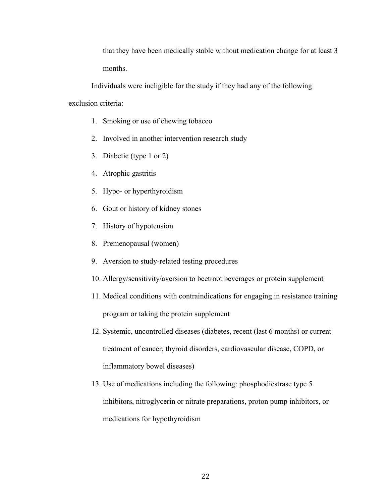that they have been medically stable without medication change for at least 3 months.

Individuals were ineligible for the study if they had any of the following exclusion criteria:

- 1. Smoking or use of chewing tobacco
- 2. Involved in another intervention research study
- 3. Diabetic (type 1 or 2)
- 4. Atrophic gastritis
- 5. Hypo- or hyperthyroidism
- 6. Gout or history of kidney stones
- 7. History of hypotension
- 8. Premenopausal (women)
- 9. Aversion to study-related testing procedures
- 10. Allergy/sensitivity/aversion to beetroot beverages or protein supplement
- 11. Medical conditions with contraindications for engaging in resistance training program or taking the protein supplement
- 12. Systemic, uncontrolled diseases (diabetes, recent (last 6 months) or current treatment of cancer, thyroid disorders, cardiovascular disease, COPD, or inflammatory bowel diseases)
- 13. Use of medications including the following: phosphodiestrase type 5 inhibitors, nitroglycerin or nitrate preparations, proton pump inhibitors, or medications for hypothyroidism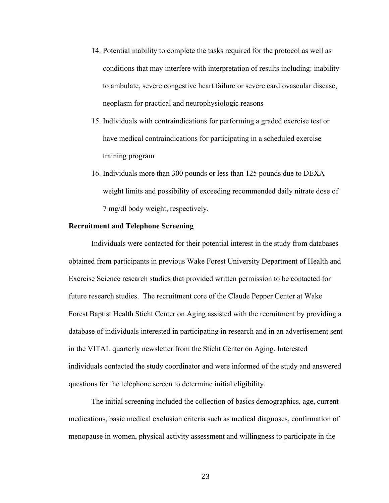- 14. Potential inability to complete the tasks required for the protocol as well as conditions that may interfere with interpretation of results including: inability to ambulate, severe congestive heart failure or severe cardiovascular disease, neoplasm for practical and neurophysiologic reasons
- 15. Individuals with contraindications for performing a graded exercise test or have medical contraindications for participating in a scheduled exercise training program
- 16. Individuals more than 300 pounds or less than 125 pounds due to DEXA weight limits and possibility of exceeding recommended daily nitrate dose of 7 mg/dl body weight, respectively.

#### **Recruitment and Telephone Screening**

Individuals were contacted for their potential interest in the study from databases obtained from participants in previous Wake Forest University Department of Health and Exercise Science research studies that provided written permission to be contacted for future research studies. The recruitment core of the Claude Pepper Center at Wake Forest Baptist Health Sticht Center on Aging assisted with the recruitment by providing a database of individuals interested in participating in research and in an advertisement sent in the VITAL quarterly newsletter from the Sticht Center on Aging. Interested individuals contacted the study coordinator and were informed of the study and answered questions for the telephone screen to determine initial eligibility.

The initial screening included the collection of basics demographics, age, current medications, basic medical exclusion criteria such as medical diagnoses, confirmation of menopause in women, physical activity assessment and willingness to participate in the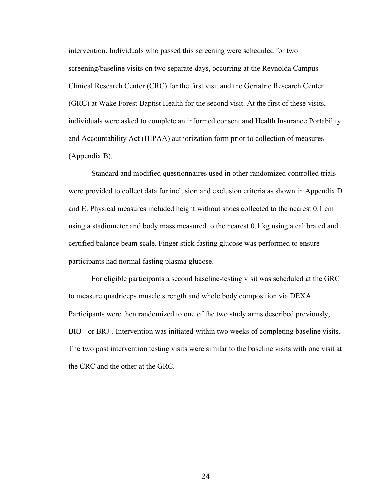intervention. Individuals who passed this screening were scheduled for two screening/baseline visits on two separate days, occurring at the Reynolda Campus Clinical Research Center (CRC) for the first visit and the Geriatric Research Center (GRC) at Wake Forest Baptist Health for the second visit. At the first of these visits, individuals were asked to complete an informed consent and Health Insurance Portability and Accountability Act (HIPAA) authorization form prior to collection of measures (Appendix B).

Standard and modified questionnaires used in other randomized controlled trials were provided to collect data for inclusion and exclusion criteria as shown in Appendix D and E. Physical measures included height without shoes collected to the nearest 0.1 cm using a stadiometer and body mass measured to the nearest 0.1 kg using a calibrated and certified balance beam scale. Finger stick fasting glucose was performed to ensure participants had normal fasting plasma glucose.

For eligible participants a second baseline-testing visit was scheduled at the GRC to measure quadriceps muscle strength and whole body composition via DEXA. Participants were then randomized to one of the two study arms described previously, BRJ+ or BRJ-. Intervention was initiated within two weeks of completing baseline visits. The two post intervention testing visits were similar to the baseline visits with one visit at the CRC and the other at the GRC.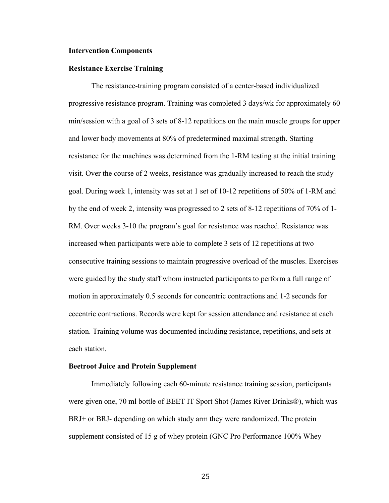#### **Intervention Components**

#### **Resistance Exercise Training**

The resistance-training program consisted of a center-based individualized progressive resistance program. Training was completed 3 days/wk for approximately 60 min/session with a goal of 3 sets of 8-12 repetitions on the main muscle groups for upper and lower body movements at 80% of predetermined maximal strength. Starting resistance for the machines was determined from the 1-RM testing at the initial training visit. Over the course of 2 weeks, resistance was gradually increased to reach the study goal. During week 1, intensity was set at 1 set of 10-12 repetitions of 50% of 1-RM and by the end of week 2, intensity was progressed to 2 sets of 8-12 repetitions of 70% of 1- RM. Over weeks 3-10 the program's goal for resistance was reached. Resistance was increased when participants were able to complete 3 sets of 12 repetitions at two consecutive training sessions to maintain progressive overload of the muscles. Exercises were guided by the study staff whom instructed participants to perform a full range of motion in approximately 0.5 seconds for concentric contractions and 1-2 seconds for eccentric contractions. Records were kept for session attendance and resistance at each station. Training volume was documented including resistance, repetitions, and sets at each station.

#### **Beetroot Juice and Protein Supplement**

Immediately following each 60-minute resistance training session, participants were given one, 70 ml bottle of BEET IT Sport Shot (James River Drinks®), which was BRJ+ or BRJ- depending on which study arm they were randomized. The protein supplement consisted of 15 g of whey protein (GNC Pro Performance 100% Whey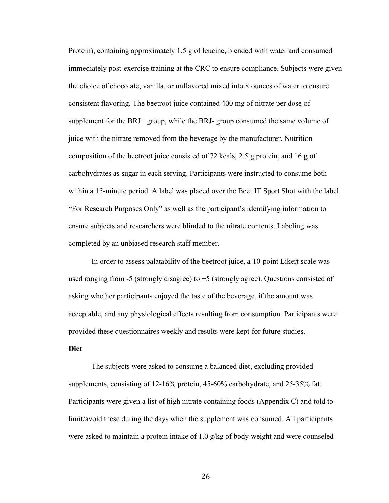Protein), containing approximately 1.5 g of leucine, blended with water and consumed immediately post-exercise training at the CRC to ensure compliance. Subjects were given the choice of chocolate, vanilla, or unflavored mixed into 8 ounces of water to ensure consistent flavoring. The beetroot juice contained 400 mg of nitrate per dose of supplement for the BRJ+ group, while the BRJ- group consumed the same volume of juice with the nitrate removed from the beverage by the manufacturer. Nutrition composition of the beetroot juice consisted of 72 kcals, 2.5 g protein, and 16 g of carbohydrates as sugar in each serving. Participants were instructed to consume both within a 15-minute period. A label was placed over the Beet IT Sport Shot with the label "For Research Purposes Only" as well as the participant's identifying information to ensure subjects and researchers were blinded to the nitrate contents. Labeling was completed by an unbiased research staff member.

In order to assess palatability of the beetroot juice, a 10-point Likert scale was used ranging from  $-5$  (strongly disagree) to  $+5$  (strongly agree). Questions consisted of asking whether participants enjoyed the taste of the beverage, if the amount was acceptable, and any physiological effects resulting from consumption. Participants were provided these questionnaires weekly and results were kept for future studies.

# **Diet**

The subjects were asked to consume a balanced diet, excluding provided supplements, consisting of 12-16% protein, 45-60% carbohydrate, and 25-35% fat. Participants were given a list of high nitrate containing foods (Appendix C) and told to limit/avoid these during the days when the supplement was consumed. All participants were asked to maintain a protein intake of 1.0 g/kg of body weight and were counseled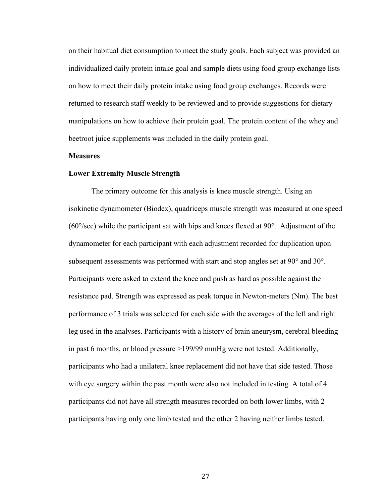on their habitual diet consumption to meet the study goals. Each subject was provided an individualized daily protein intake goal and sample diets using food group exchange lists on how to meet their daily protein intake using food group exchanges. Records were returned to research staff weekly to be reviewed and to provide suggestions for dietary manipulations on how to achieve their protein goal. The protein content of the whey and beetroot juice supplements was included in the daily protein goal.

#### **Measures**

#### **Lower Extremity Muscle Strength**

The primary outcome for this analysis is knee muscle strength. Using an isokinetic dynamometer (Biodex), quadriceps muscle strength was measured at one speed  $(60^{\circ}/sec)$  while the participant sat with hips and knees flexed at 90 $^{\circ}$ . Adjustment of the dynamometer for each participant with each adjustment recorded for duplication upon subsequent assessments was performed with start and stop angles set at 90° and 30°. Participants were asked to extend the knee and push as hard as possible against the resistance pad. Strength was expressed as peak torque in Newton-meters (Nm). The best performance of 3 trials was selected for each side with the averages of the left and right leg used in the analyses. Participants with a history of brain aneurysm, cerebral bleeding in past 6 months, or blood pressure >199/99 mmHg were not tested. Additionally, participants who had a unilateral knee replacement did not have that side tested. Those with eye surgery within the past month were also not included in testing. A total of 4 participants did not have all strength measures recorded on both lower limbs, with 2 participants having only one limb tested and the other 2 having neither limbs tested.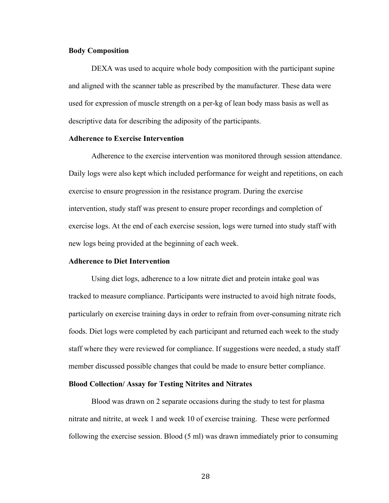#### **Body Composition**

DEXA was used to acquire whole body composition with the participant supine and aligned with the scanner table as prescribed by the manufacturer. These data were used for expression of muscle strength on a per-kg of lean body mass basis as well as descriptive data for describing the adiposity of the participants.

#### **Adherence to Exercise Intervention**

Adherence to the exercise intervention was monitored through session attendance. Daily logs were also kept which included performance for weight and repetitions, on each exercise to ensure progression in the resistance program. During the exercise intervention, study staff was present to ensure proper recordings and completion of exercise logs. At the end of each exercise session, logs were turned into study staff with new logs being provided at the beginning of each week.

#### **Adherence to Diet Intervention**

Using diet logs, adherence to a low nitrate diet and protein intake goal was tracked to measure compliance. Participants were instructed to avoid high nitrate foods, particularly on exercise training days in order to refrain from over-consuming nitrate rich foods. Diet logs were completed by each participant and returned each week to the study staff where they were reviewed for compliance. If suggestions were needed, a study staff member discussed possible changes that could be made to ensure better compliance.

#### **Blood Collection/ Assay for Testing Nitrites and Nitrates**

Blood was drawn on 2 separate occasions during the study to test for plasma nitrate and nitrite, at week 1 and week 10 of exercise training. These were performed following the exercise session. Blood (5 ml) was drawn immediately prior to consuming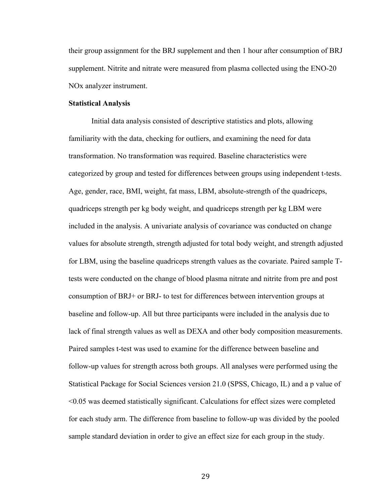their group assignment for the BRJ supplement and then 1 hour after consumption of BRJ supplement. Nitrite and nitrate were measured from plasma collected using the ENO-20 NOx analyzer instrument.

#### **Statistical Analysis**

Initial data analysis consisted of descriptive statistics and plots, allowing familiarity with the data, checking for outliers, and examining the need for data transformation. No transformation was required. Baseline characteristics were categorized by group and tested for differences between groups using independent t-tests. Age, gender, race, BMI, weight, fat mass, LBM, absolute-strength of the quadriceps, quadriceps strength per kg body weight, and quadriceps strength per kg LBM were included in the analysis. A univariate analysis of covariance was conducted on change values for absolute strength, strength adjusted for total body weight, and strength adjusted for LBM, using the baseline quadriceps strength values as the covariate. Paired sample Ttests were conducted on the change of blood plasma nitrate and nitrite from pre and post consumption of BRJ+ or BRJ- to test for differences between intervention groups at baseline and follow-up. All but three participants were included in the analysis due to lack of final strength values as well as DEXA and other body composition measurements. Paired samples t-test was used to examine for the difference between baseline and follow-up values for strength across both groups. All analyses were performed using the Statistical Package for Social Sciences version 21.0 (SPSS, Chicago, IL) and a p value of <0.05 was deemed statistically significant. Calculations for effect sizes were completed for each study arm. The difference from baseline to follow-up was divided by the pooled sample standard deviation in order to give an effect size for each group in the study.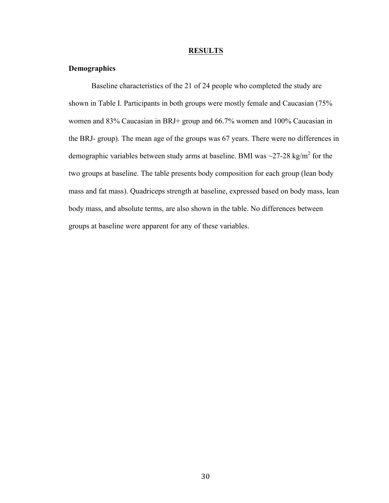#### **RESULTS**

#### **Demographics**

Baseline characteristics of the 21 of 24 people who completed the study are shown in Table I. Participants in both groups were mostly female and Caucasian (75% women and 83% Caucasian in BRJ+ group and 66.7% women and 100% Caucasian in the BRJ- group). The mean age of the groups was 67 years. There were no differences in demographic variables between study arms at baseline. BMI was  $\sim$ 27-28 kg/m<sup>2</sup> for the two groups at baseline. The table presents body composition for each group (lean body mass and fat mass). Quadriceps strength at baseline, expressed based on body mass, lean body mass, and absolute terms, are also shown in the table. No differences between groups at baseline were apparent for any of these variables.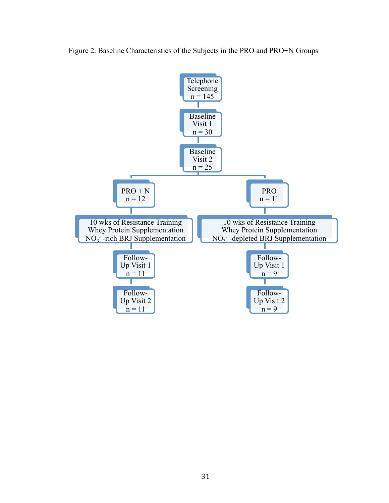

Figure 2. Baseline Characteristics of the Subjects in the PRO and PRO+N Groups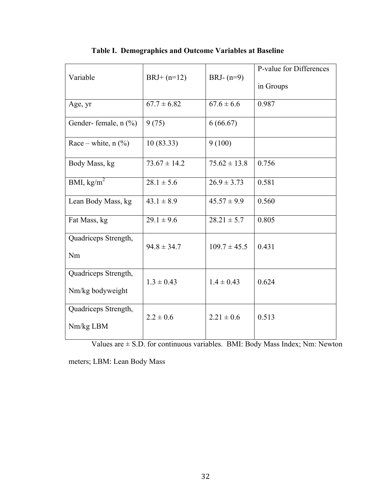| Variable              | $BRJ+ (n=12)$    | BRJ- $(n=9)$     | P-value for Differences |
|-----------------------|------------------|------------------|-------------------------|
|                       |                  |                  | in Groups               |
| Age, yr               | $67.7 \pm 6.82$  | $67.6 \pm 6.6$   | 0.987                   |
| Gender-female, n (%)  | 9(75)            | 6(66.67)         |                         |
| Race – white, $n$ (%) | 10(83.33)        | 9(100)           |                         |
| Body Mass, kg         | $73.67 \pm 14.2$ | $75.62 \pm 13.8$ | 0.756                   |
| BMI, $kg/m2$          | $28.1 \pm 5.6$   | $26.9 \pm 3.73$  | 0.581                   |
| Lean Body Mass, kg    | $43.1 \pm 8.9$   | $45.57 \pm 9.9$  | 0.560                   |
| Fat Mass, kg          | $29.1 \pm 9.6$   | $28.21 \pm 5.7$  | 0.805                   |
| Quadriceps Strength,  | $94.8 \pm 34.7$  | $109.7 \pm 45.5$ | 0.431                   |
| Nm                    |                  |                  |                         |
| Quadriceps Strength,  | $1.3 \pm 0.43$   | $1.4 \pm 0.43$   | 0.624                   |
| Nm/kg bodyweight      |                  |                  |                         |
| Quadriceps Strength,  | $2.2 \pm 0.6$    | $2.21 \pm 0.6$   | 0.513                   |
| Nm/kg LBM             |                  |                  |                         |

**Table I. Demographics and Outcome Variables at Baseline**

Values are  $\pm$  S.D. for continuous variables. BMI: Body Mass Index; Nm: Newton

meters; LBM: Lean Body Mass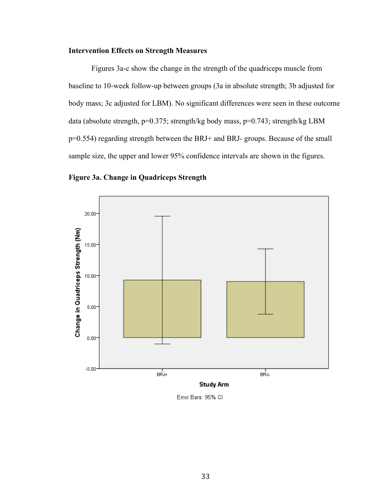#### **Intervention Effects on Strength Measures**

Figures 3a-c show the change in the strength of the quadriceps muscle from baseline to 10-week follow-up between groups (3a in absolute strength; 3b adjusted for body mass; 3c adjusted for LBM). No significant differences were seen in these outcome data (absolute strength, p=0.375; strength/kg body mass, p=0.743; strength/kg LBM p=0.554) regarding strength between the BRJ+ and BRJ- groups. Because of the small sample size, the upper and lower 95% confidence intervals are shown in the figures.





Error Bars: 95% CI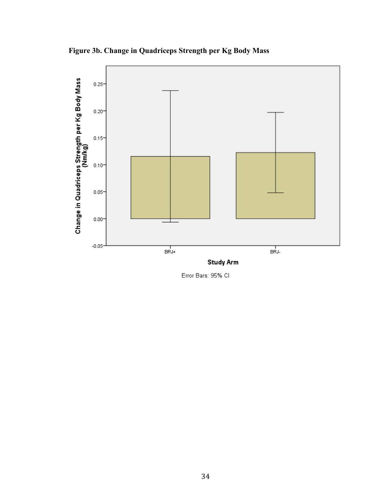**Figure 3b. Change in Quadriceps Strength per Kg Body Mass**



Error Bars: 95% CI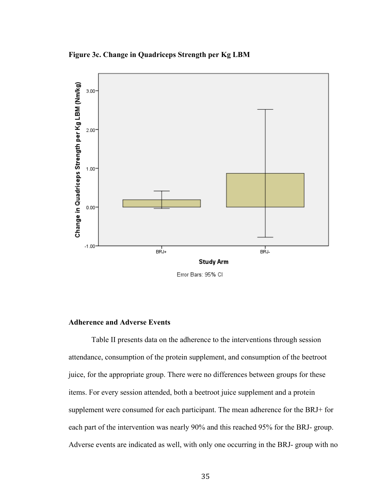**Figure 3c. Change in Quadriceps Strength per Kg LBM**



Error Bars: 95% CI

#### **Adherence and Adverse Events**

Table II presents data on the adherence to the interventions through session attendance, consumption of the protein supplement, and consumption of the beetroot juice, for the appropriate group. There were no differences between groups for these items. For every session attended, both a beetroot juice supplement and a protein supplement were consumed for each participant. The mean adherence for the BRJ+ for each part of the intervention was nearly 90% and this reached 95% for the BRJ- group. Adverse events are indicated as well, with only one occurring in the BRJ- group with no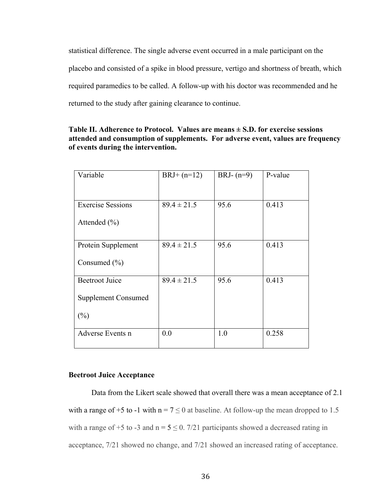statistical difference. The single adverse event occurred in a male participant on the placebo and consisted of a spike in blood pressure, vertigo and shortness of breath, which required paramedics to be called. A follow-up with his doctor was recommended and he returned to the study after gaining clearance to continue.

| Variable                   | $BRJ+(n=12)$    | BRJ- $(n=9)$ | P-value |
|----------------------------|-----------------|--------------|---------|
|                            |                 |              |         |
| <b>Exercise Sessions</b>   | $89.4 \pm 21.5$ | 95.6         | 0.413   |
| Attended $(\% )$           |                 |              |         |
| Protein Supplement         | $89.4 \pm 21.5$ | 95.6         | 0.413   |
| Consumed $(\% )$           |                 |              |         |
| <b>Beetroot Juice</b>      | $89.4 \pm 21.5$ | 95.6         | 0.413   |
| <b>Supplement Consumed</b> |                 |              |         |
| (%)                        |                 |              |         |
| Adverse Events n           | 0.0             | 1.0          | 0.258   |

| Table II. Adherence to Protocol. Values are means $\pm$ S.D. for exercise sessions |                                                                                  |
|------------------------------------------------------------------------------------|----------------------------------------------------------------------------------|
|                                                                                    | attended and consumption of supplements. For adverse event, values are frequency |
| of events during the intervention.                                                 |                                                                                  |

#### **Beetroot Juice Acceptance**

Data from the Likert scale showed that overall there was a mean acceptance of 2.1 with a range of +5 to -1 with  $n = 7 \le 0$  at baseline. At follow-up the mean dropped to 1.5 with a range of +5 to -3 and  $n = 5 \le 0$ . 7/21 participants showed a decreased rating in acceptance, 7/21 showed no change, and 7/21 showed an increased rating of acceptance.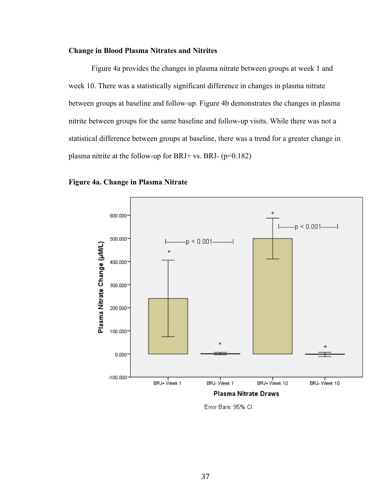#### **Change in Blood Plasma Nitrates and Nitrites**

Figure 4a provides the changes in plasma nitrate between groups at week 1 and week 10. There was a statistically significant difference in changes in plasma nitrate between groups at baseline and follow-up. Figure 4b demonstrates the changes in plasma nitrite between groups for the same baseline and follow-up visits. While there was not a statistical difference between groups at baseline, there was a trend for a greater change in plasma nitrite at the follow-up for BRJ+ vs. BRJ- (p=0.182)

## **Figure 4a. Change in Plasma Nitrate**



Error Bars: 95% Cl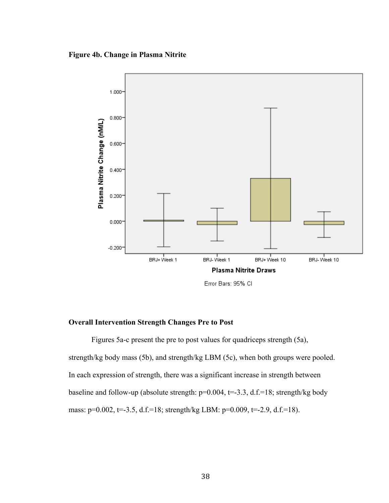**Figure 4b. Change in Plasma Nitrite** 



Error Bars: 95% Cl

#### **Overall Intervention Strength Changes Pre to Post**

Figures 5a-c present the pre to post values for quadriceps strength (5a), strength/kg body mass (5b), and strength/kg LBM (5c), when both groups were pooled. In each expression of strength, there was a significant increase in strength between baseline and follow-up (absolute strength:  $p=0.004$ ,  $t=.33$ , d.f.=18; strength/kg body mass:  $p=0.002$ ,  $t=.3.5$ , d.f.=18; strength/kg LBM:  $p=0.009$ ,  $t=.2.9$ , d.f.=18).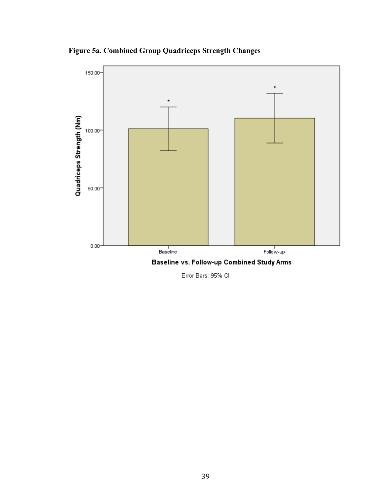**Figure 5a. Combined Group Quadriceps Strength Changes**



Error Bars: 95% CI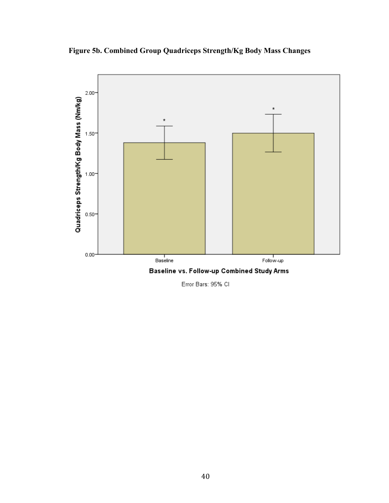**Figure 5b. Combined Group Quadriceps Strength/Kg Body Mass Changes**



Error Bars: 95% CI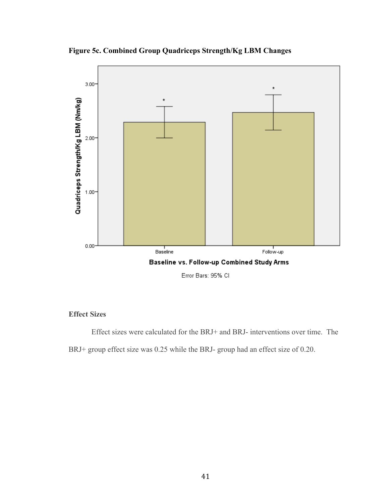**Figure 5c. Combined Group Quadriceps Strength/Kg LBM Changes**



## **Effect Sizes**

Effect sizes were calculated for the BRJ+ and BRJ- interventions over time. The

BRJ+ group effect size was 0.25 while the BRJ- group had an effect size of 0.20.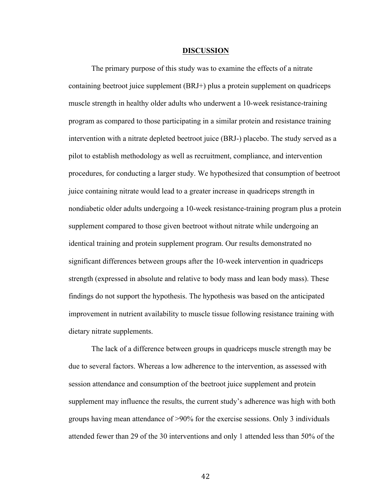#### **DISCUSSION**

The primary purpose of this study was to examine the effects of a nitrate containing beetroot juice supplement (BRJ+) plus a protein supplement on quadriceps muscle strength in healthy older adults who underwent a 10-week resistance-training program as compared to those participating in a similar protein and resistance training intervention with a nitrate depleted beetroot juice (BRJ-) placebo. The study served as a pilot to establish methodology as well as recruitment, compliance, and intervention procedures, for conducting a larger study. We hypothesized that consumption of beetroot juice containing nitrate would lead to a greater increase in quadriceps strength in nondiabetic older adults undergoing a 10-week resistance-training program plus a protein supplement compared to those given beetroot without nitrate while undergoing an identical training and protein supplement program. Our results demonstrated no significant differences between groups after the 10-week intervention in quadriceps strength (expressed in absolute and relative to body mass and lean body mass). These findings do not support the hypothesis. The hypothesis was based on the anticipated improvement in nutrient availability to muscle tissue following resistance training with dietary nitrate supplements.

The lack of a difference between groups in quadriceps muscle strength may be due to several factors. Whereas a low adherence to the intervention, as assessed with session attendance and consumption of the beetroot juice supplement and protein supplement may influence the results, the current study's adherence was high with both groups having mean attendance of >90% for the exercise sessions. Only 3 individuals attended fewer than 29 of the 30 interventions and only 1 attended less than 50% of the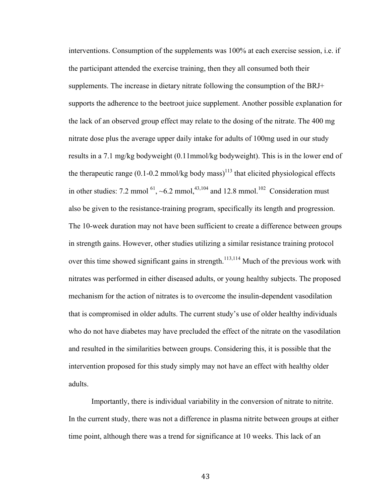interventions. Consumption of the supplements was 100% at each exercise session, i.e. if the participant attended the exercise training, then they all consumed both their supplements. The increase in dietary nitrate following the consumption of the BRJ+ supports the adherence to the beetroot juice supplement. Another possible explanation for the lack of an observed group effect may relate to the dosing of the nitrate. The 400 mg nitrate dose plus the average upper daily intake for adults of 100mg used in our study results in a 7.1 mg/kg bodyweight (0.11mmol/kg bodyweight). This is in the lower end of the therapeutic range  $(0.1\n-0.2 \text{ mmol/kg}$  body mass)<sup>113</sup> that elicited physiological effects in other studies: 7.2 mmol  $^{61}$ , ~6.2 mmol,  $^{43,104}$  and 12.8 mmol.<sup>102</sup> Consideration must also be given to the resistance-training program, specifically its length and progression. The 10-week duration may not have been sufficient to create a difference between groups in strength gains. However, other studies utilizing a similar resistance training protocol over this time showed significant gains in strength.<sup>113,114</sup> Much of the previous work with nitrates was performed in either diseased adults, or young healthy subjects. The proposed mechanism for the action of nitrates is to overcome the insulin-dependent vasodilation that is compromised in older adults. The current study's use of older healthy individuals who do not have diabetes may have precluded the effect of the nitrate on the vasodilation and resulted in the similarities between groups. Considering this, it is possible that the intervention proposed for this study simply may not have an effect with healthy older adults.

Importantly, there is individual variability in the conversion of nitrate to nitrite. In the current study, there was not a difference in plasma nitrite between groups at either time point, although there was a trend for significance at 10 weeks. This lack of an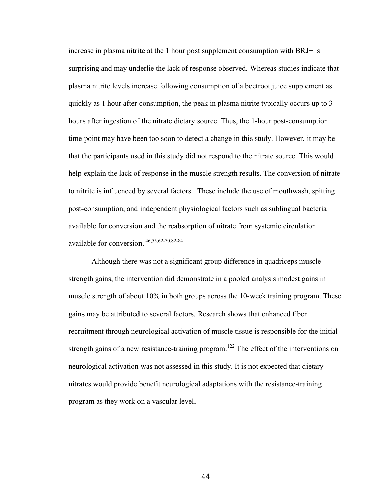increase in plasma nitrite at the 1 hour post supplement consumption with BRJ+ is surprising and may underlie the lack of response observed. Whereas studies indicate that plasma nitrite levels increase following consumption of a beetroot juice supplement as quickly as 1 hour after consumption, the peak in plasma nitrite typically occurs up to 3 hours after ingestion of the nitrate dietary source. Thus, the 1-hour post-consumption time point may have been too soon to detect a change in this study. However, it may be that the participants used in this study did not respond to the nitrate source. This would help explain the lack of response in the muscle strength results. The conversion of nitrate to nitrite is influenced by several factors. These include the use of mouthwash, spitting post-consumption, and independent physiological factors such as sublingual bacteria available for conversion and the reabsorption of nitrate from systemic circulation available for conversion. 46,55,62-70,82-84

Although there was not a significant group difference in quadriceps muscle strength gains, the intervention did demonstrate in a pooled analysis modest gains in muscle strength of about 10% in both groups across the 10-week training program. These gains may be attributed to several factors. Research shows that enhanced fiber recruitment through neurological activation of muscle tissue is responsible for the initial strength gains of a new resistance-training program.<sup>122</sup> The effect of the interventions on neurological activation was not assessed in this study. It is not expected that dietary nitrates would provide benefit neurological adaptations with the resistance-training program as they work on a vascular level.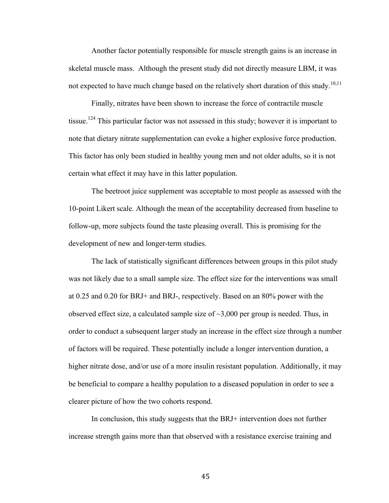Another factor potentially responsible for muscle strength gains is an increase in skeletal muscle mass. Although the present study did not directly measure LBM, it was not expected to have much change based on the relatively short duration of this study.<sup>10,11</sup>

Finally, nitrates have been shown to increase the force of contractile muscle tissue.<sup>124</sup> This particular factor was not assessed in this study; however it is important to note that dietary nitrate supplementation can evoke a higher explosive force production. This factor has only been studied in healthy young men and not older adults, so it is not certain what effect it may have in this latter population.

The beetroot juice supplement was acceptable to most people as assessed with the 10-point Likert scale. Although the mean of the acceptability decreased from baseline to follow-up, more subjects found the taste pleasing overall. This is promising for the development of new and longer-term studies.

The lack of statistically significant differences between groups in this pilot study was not likely due to a small sample size. The effect size for the interventions was small at 0.25 and 0.20 for BRJ+ and BRJ-, respectively. Based on an 80% power with the observed effect size, a calculated sample size of  $\sim$ 3,000 per group is needed. Thus, in order to conduct a subsequent larger study an increase in the effect size through a number of factors will be required. These potentially include a longer intervention duration, a higher nitrate dose, and/or use of a more insulin resistant population. Additionally, it may be beneficial to compare a healthy population to a diseased population in order to see a clearer picture of how the two cohorts respond.

In conclusion, this study suggests that the BRJ+ intervention does not further increase strength gains more than that observed with a resistance exercise training and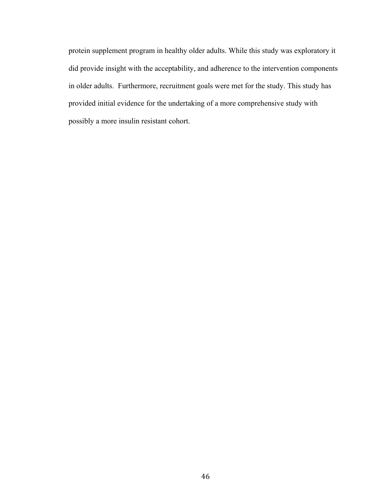protein supplement program in healthy older adults. While this study was exploratory it did provide insight with the acceptability, and adherence to the intervention components in older adults. Furthermore, recruitment goals were met for the study. This study has provided initial evidence for the undertaking of a more comprehensive study with possibly a more insulin resistant cohort.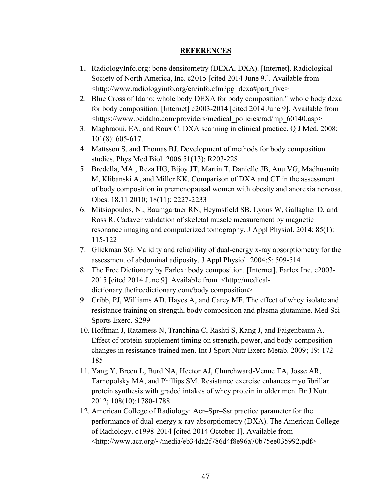## **REFERENCES**

- **1.** RadiologyInfo.org: bone densitometry (DEXA, DXA). [Internet]. Radiological Society of North America, Inc. c2015 [cited 2014 June 9.]. Available from <http://www.radiologyinfo.org/en/info.cfm?pg=dexa#part\_five>
- 2. Blue Cross of Idaho: whole body DEXA for body composition." whole body dexa for body composition. [Internet] c2003-2014 [cited 2014 June 9]. Available from <https://www.bcidaho.com/providers/medical\_policies/rad/mp\_60140.asp>
- 3. Maghraoui, EA, and Roux C. DXA scanning in clinical practice. Q J Med. 2008; 101(8): 605-617.
- 4. Mattsson S, and Thomas BJ. Development of methods for body composition studies. Phys Med Biol. 2006 51(13): R203-228
- 5. Bredella, MA., Reza HG, Bijoy JT, Martin T, Danielle JB, Anu VG, Madhusmita M, Klibanski A, and Miller KK. Comparison of DXA and CT in the assessment of body composition in premenopausal women with obesity and anorexia nervosa. Obes. 18.11 2010; 18(11): 2227-2233
- 6. Mitsiopoulos, N., Baumgartner RN, Heymsfield SB, Lyons W, Gallagher D, and Ross R. Cadaver validation of skeletal muscle measurement by magnetic resonance imaging and computerized tomography. J Appl Physiol. 2014; 85(1): 115-122
- 7. Glickman SG. Validity and reliability of dual-energy x-ray absorptiometry for the assessment of abdominal adiposity. J Appl Physiol. 2004;5: 509-514
- 8. The Free Dictionary by Farlex: body composition. [Internet]. Farlex Inc. c2003- 2015 [cited 2014 June 9]. Available from <http://medicaldictionary.thefreedictionary.com/body composition>
- 9. Cribb, PJ, Williams AD, Hayes A, and Carey MF. The effect of whey isolate and resistance training on strength, body composition and plasma glutamine. Med Sci Sports Exerc. S299
- 10. Hoffman J, Ratamess N, Tranchina C, Rashti S, Kang J, and Faigenbaum A. Effect of protein-supplement timing on strength, power, and body-composition changes in resistance-trained men. Int J Sport Nutr Exerc Metab. 2009; 19: 172- 185
- 11. Yang Y, Breen L, Burd NA, Hector AJ, Churchward-Venne TA, Josse AR, Tarnopolsky MA, and Phillips SM. Resistance exercise enhances myofibrillar protein synthesis with graded intakes of whey protein in older men. Br J Nutr. 2012; 108(10):1780-1788
- 12. American College of Radiology: Acr–Spr–Ssr practice parameter for the performance of dual-energy x-ray absorptiometry (DXA). The American College of Radiology. c1998-2014 [cited 2014 October 1]. Available from <http://www.acr.org/~/media/eb34da2f786d4f8e96a70b75ee035992.pdf>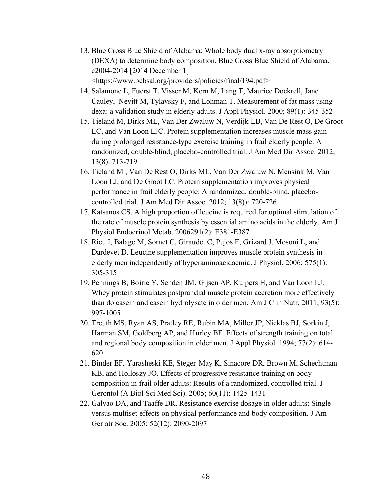- 13. Blue Cross Blue Shield of Alabama: Whole body dual x-ray absorptiometry (DEXA) to determine body composition. Blue Cross Blue Shield of Alabama. c2004-2014 [2014 December 1] <https://www.bcbsal.org/providers/policies/final/194.pdf>
- 14. Salamone L, Fuerst T, Visser M, Kern M, Lang T, Maurice Dockrell, Jane Cauley, Nevitt M, Tylavsky F, and Lohman T. Measurement of fat mass using dexa: a validation study in elderly adults. J Appl Physiol. 2000; 89(1): 345-352
- 15. Tieland M, Dirks ML, Van Der Zwaluw N, Verdijk LB, Van De Rest O, De Groot LC, and Van Loon LJC. Protein supplementation increases muscle mass gain during prolonged resistance-type exercise training in frail elderly people: A randomized, double-blind, placebo-controlled trial. J Am Med Dir Assoc. 2012; 13(8): 713-719
- 16. Tieland M , Van De Rest O, Dirks ML, Van Der Zwaluw N, Mensink M, Van Loon LJ, and De Groot LC. Protein supplementation improves physical performance in frail elderly people: A randomized, double-blind, placebocontrolled trial. J Am Med Dir Assoc. 2012; 13(8)): 720-726
- 17. Katsanos CS. A high proportion of leucine is required for optimal stimulation of the rate of muscle protein synthesis by essential amino acids in the elderly. Am J Physiol Endocrinol Metab. 2006291(2): E381-E387
- 18. Rieu I, Balage M, Sornet C, Giraudet C, Pujos E, Grizard J, Mosoni L, and Dardevet D. Leucine supplementation improves muscle protein synthesis in elderly men independently of hyperaminoacidaemia. J Physiol. 2006; 575(1): 305-315
- 19. Pennings B, Boirie Y, Senden JM, Gijsen AP, Kuipers H, and Van Loon LJ. Whey protein stimulates postprandial muscle protein accretion more effectively than do casein and casein hydrolysate in older men. Am J Clin Nutr. 2011; 93(5): 997-1005
- 20. Treuth MS, Ryan AS, Pratley RE, Rubin MA, Miller JP, Nicklas BJ, Sorkin J, Harman SM, Goldberg AP, and Hurley BF. Effects of strength training on total and regional body composition in older men. J Appl Physiol. 1994; 77(2): 614- 620
- 21. Binder EF, Yarasheski KE, Steger-May K, Sinacore DR, Brown M, Schechtman KB, and Holloszy JO. Effects of progressive resistance training on body composition in frail older adults: Results of a randomized, controlled trial. J Gerontol (A Biol Sci Med Sci). 2005; 60(11): 1425-1431
- 22. Galvao DA, and Taaffe DR. Resistance exercise dosage in older adults: Singleversus multiset effects on physical performance and body composition. J Am Geriatr Soc. 2005; 52(12): 2090-2097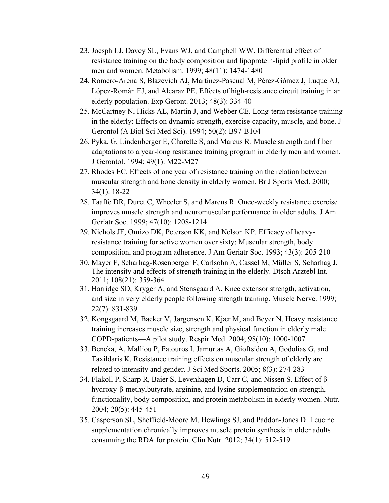- 23. Joesph LJ, Davey SL, Evans WJ, and Campbell WW. Differential effect of resistance training on the body composition and lipoprotein-lipid profile in older men and women. Metabolism. 1999; 48(11): 1474-1480
- 24. Romero-Arena S, Blazevich AJ, Martínez-Pascual M, Pérez-Gómez J, Luque AJ, López-Román FJ, and Alcaraz PE. Effects of high-resistance circuit training in an elderly population. Exp Geront. 2013; 48(3): 334-40
- 25. McCartney N, Hicks AL, Martin J, and Webber CE. Long-term resistance training in the elderly: Effects on dynamic strength, exercise capacity, muscle, and bone. J Gerontol (A Biol Sci Med Sci). 1994; 50(2): B97-B104
- 26. Pyka, G, Lindenberger E, Charette S, and Marcus R. Muscle strength and fiber adaptations to a year-long resistance training program in elderly men and women. J Gerontol. 1994; 49(1): M22-M27
- 27. Rhodes EC. Effects of one year of resistance training on the relation between muscular strength and bone density in elderly women. Br J Sports Med. 2000; 34(1): 18-22
- 28. Taaffe DR, Duret C, Wheeler S, and Marcus R. Once-weekly resistance exercise improves muscle strength and neuromuscular performance in older adults. J Am Geriatr Soc. 1999; 47(10): 1208-1214
- 29. Nichols JF, Omizo DK, Peterson KK, and Nelson KP. Efficacy of heavyresistance training for active women over sixty: Muscular strength, body composition, and program adherence. J Am Geriatr Soc. 1993; 43(3): 205-210
- 30. Mayer F, Scharhag-Rosenberger F, Carlsohn A, Cassel M, Müller S, Scharhag J. The intensity and effects of strength training in the elderly. Dtsch Arztebl Int. 2011; 108(21): 359-364
- 31. Harridge SD, Kryger A, and Stensgaard A. Knee extensor strength, activation, and size in very elderly people following strength training. Muscle Nerve. 1999; 22(7): 831-839
- 32. Kongsgaard M, Backer V, Jørgensen K, Kjær M, and Beyer N. Heavy resistance training increases muscle size, strength and physical function in elderly male COPD-patients—A pilot study. Respir Med. 2004; 98(10): 1000-1007
- 33. Beneka, A, Malliou P, Fatouros I, Jamurtas A, Gioftsidou A, Godolias G, and Taxildaris K. Resistance training effects on muscular strength of elderly are related to intensity and gender. J Sci Med Sports. 2005; 8(3): 274-283
- 34. Flakoll P, Sharp R, Baier S, Levenhagen D, Carr C, and Nissen S. Effect of βhydroxy-β-methylbutyrate, arginine, and lysine supplementation on strength, functionality, body composition, and protein metabolism in elderly women. Nutr. 2004; 20(5): 445-451
- 35. Casperson SL, Sheffield-Moore M, Hewlings SJ, and Paddon-Jones D. Leucine supplementation chronically improves muscle protein synthesis in older adults consuming the RDA for protein. Clin Nutr. 2012; 34(1): 512-519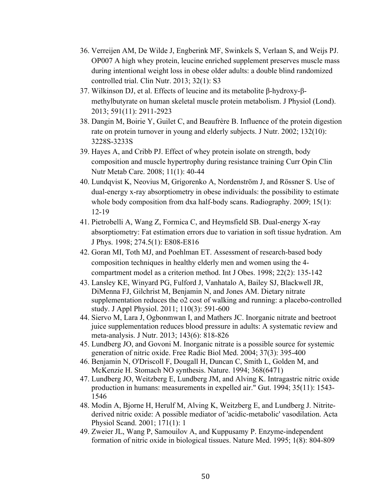- 36. Verreijen AM, De Wilde J, Engberink MF, Swinkels S, Verlaan S, and Weijs PJ. OP007 A high whey protein, leucine enriched supplement preserves muscle mass during intentional weight loss in obese older adults: a double blind randomized controlled trial. Clin Nutr. 2013; 32(1): S3
- 37. Wilkinson DJ, et al. Effects of leucine and its metabolite β-hydroxy-βmethylbutyrate on human skeletal muscle protein metabolism. J Physiol (Lond). 2013; 591(11): 2911-2923
- 38. Dangin M, Boirie Y, Guilet C, and Beaufrère B. Influence of the protein digestion rate on protein turnover in young and elderly subjects. J Nutr. 2002; 132(10): 3228S-3233S
- 39. Hayes A, and Cribb PJ. Effect of whey protein isolate on strength, body composition and muscle hypertrophy during resistance training Curr Opin Clin Nutr Metab Care. 2008; 11(1): 40-44
- 40. Lundqvist K, Neovius M, Grigorenko A, Nordenström J, and Rössner S. Use of dual-energy x-ray absorptiometry in obese individuals: the possibility to estimate whole body composition from dxa half-body scans. Radiography. 2009; 15(1): 12-19
- 41. Pietrobelli A, Wang Z, Formica C, and Heymsfield SB. Dual-energy X-ray absorptiometry: Fat estimation errors due to variation in soft tissue hydration. Am J Phys. 1998; 274.5(1): E808-E816
- 42. Goran MI, Toth MJ, and Poehlman ET. Assessment of research-based body composition techniques in healthy elderly men and women using the 4 compartment model as a criterion method. Int J Obes. 1998; 22(2): 135-142
- 43. Lansley KE, Winyard PG, Fulford J, Vanhatalo A, Bailey SJ, Blackwell JR, DiMenna FJ, Gilchrist M, Benjamin N, and Jones AM. Dietary nitrate supplementation reduces the o2 cost of walking and running: a placebo-controlled study. J Appl Physiol. 2011; 110(3): 591-600
- 44. Siervo M, Lara J, Ogbonmwan I, and Mathers JC. Inorganic nitrate and beetroot juice supplementation reduces blood pressure in adults: A systematic review and meta-analysis. J Nutr. 2013; 143(6): 818-826
- 45. Lundberg JO, and Govoni M. Inorganic nitrate is a possible source for systemic generation of nitric oxide. Free Radic Biol Med. 2004; 37(3): 395-400
- 46. Benjamin N, O'Driscoll F, Dougall H, Duncan C, Smith L, Golden M, and McKenzie H. Stomach NO synthesis. Nature. 1994; 368(6471)
- 47. Lundberg JO, Weitzberg E, Lundberg JM, and Alving K. Intragastric nitric oxide production in humans: measurements in expelled air." Gut. 1994; 35(11): 1543- 1546
- 48. Modin A, Bjorne H, Herulf M, Alving K, Weitzberg E, and Lundberg J. Nitritederived nitric oxide: A possible mediator of 'acidic-metabolic' vasodilation. Acta Physiol Scand. 2001; 171(1): 1
- 49. Zweier JL, Wang P, Samouilov A, and Kuppusamy P. Enzyme-independent formation of nitric oxide in biological tissues. Nature Med. 1995; 1(8): 804-809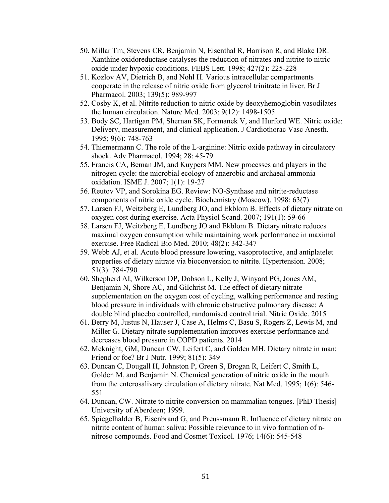- 50. Millar Tm, Stevens CR, Benjamin N, Eisenthal R, Harrison R, and Blake DR. Xanthine oxidoreductase catalyses the reduction of nitrates and nitrite to nitric oxide under hypoxic conditions. FEBS Lett. 1998; 427(2): 225-228
- 51. Kozlov AV, Dietrich B, and Nohl H. Various intracellular compartments cooperate in the release of nitric oxide from glycerol trinitrate in liver. Br J Pharmacol. 2003; 139(5): 989-997
- 52. Cosby K, et al. Nitrite reduction to nitric oxide by deoxyhemoglobin vasodilates the human circulation. Nature Med. 2003; 9(12): 1498-1505
- 53. Body SC, Hartigan PM, Shernan SK, Formanek V, and Hurford WE. Nitric oxide: Delivery, measurement, and clinical application. J Cardiothorac Vasc Anesth. 1995; 9(6): 748-763
- 54. Thiemermann C. The role of the L-arginine: Nitric oxide pathway in circulatory shock. Adv Pharmacol. 1994; 28: 45-79
- 55. Francis CA, Beman JM, and Kuypers MM. New processes and players in the nitrogen cycle: the microbial ecology of anaerobic and archaeal ammonia oxidation. ISME J. 2007; 1(1): 19-27
- 56. Reutov VP, and Sorokina EG. Review: NO-Synthase and nitrite-reductase components of nitric oxide cycle. Biochemistry (Moscow). 1998; 63(7)
- 57. Larsen FJ, Weitzberg E, Lundberg JO, and Ekblom B. Effects of dietary nitrate on oxygen cost during exercise. Acta Physiol Scand. 2007; 191(1): 59-66
- 58. Larsen FJ, Weitzberg E, Lundberg JO and Ekblom B. Dietary nitrate reduces maximal oxygen consumption while maintaining work performance in maximal exercise. Free Radical Bio Med. 2010; 48(2): 342-347
- 59. Webb AJ, et al. Acute blood pressure lowering, vasoprotective, and antiplatelet properties of dietary nitrate via bioconversion to nitrite. Hypertension. 2008; 51(3): 784-790
- 60. Shepherd AI, Wilkerson DP, Dobson L, Kelly J, Winyard PG, Jones AM, Benjamin N, Shore AC, and Gilchrist M. The effect of dietary nitrate supplementation on the oxygen cost of cycling, walking performance and resting blood pressure in individuals with chronic obstructive pulmonary disease: A double blind placebo controlled, randomised control trial. Nitric Oxide. 2015
- 61. Berry M, Justus N, Hauser J, Case A, Helms C, Basu S, Rogers Z, Lewis M, and Miller G. Dietary nitrate supplementation improves exercise performance and decreases blood pressure in COPD patients. 2014
- 62. Mcknight, GM, Duncan CW, Leifert C, and Golden MH. Dietary nitrate in man: Friend or foe? Br J Nutr. 1999; 81(5): 349
- 63. Duncan C, Dougall H, Johnston P, Green S, Brogan R, Leifert C, Smith L, Golden M, and Benjamin N. Chemical generation of nitric oxide in the mouth from the enterosalivary circulation of dietary nitrate. Nat Med. 1995; 1(6): 546- 551
- 64. Duncan, CW. Nitrate to nitrite conversion on mammalian tongues. [PhD Thesis] University of Aberdeen; 1999.
- 65. Spiegelhalder B, Eisenbrand G, and Preussmann R. Influence of dietary nitrate on nitrite content of human saliva: Possible relevance to in vivo formation of nnitroso compounds. Food and Cosmet Toxicol. 1976; 14(6): 545-548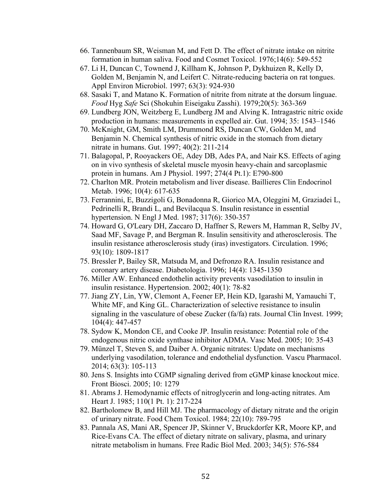- 66. Tannenbaum SR, Weisman M, and Fett D. The effect of nitrate intake on nitrite formation in human saliva. Food and Cosmet Toxicol. 1976;14(6): 549-552
- 67. Li H, Duncan C, Townend J, Killham K, Johnson P, Dykhuizen R, Kelly D, Golden M, Benjamin N, and Leifert C. Nitrate-reducing bacteria on rat tongues. Appl Environ Microbiol. 1997; 63(3): 924-930
- 68. Sasaki T, and Matano K. Formation of nitrite from nitrate at the dorsum linguae. *Food* Hyg *Safe* Sci (Shokuhin Eiseigaku Zasshi). 1979;20(5): 363-369
- 69. Lundberg JON, Weitzberg E, Lundberg JM and Alving K. Intragastric nitric oxide production in humans: measurements in expelled air. Gut. 1994; 35: 1543–1546
- 70. McKnight, GM, Smith LM, Drummond RS, Duncan CW, Golden M, and Benjamin N. Chemical synthesis of nitric oxide in the stomach from dietary nitrate in humans. Gut. 1997; 40(2): 211-214
- 71. Balagopal, P, Rooyackers OE, Adey DB, Ades PA, and Nair KS. Effects of aging on in vivo synthesis of skeletal muscle myosin heavy-chain and sarcoplasmic protein in humans. Am J Physiol. 1997; 274(4 Pt.1): E790-800
- 72. Charlton MR. Protein metabolism and liver disease. Baillieres Clin Endocrinol Metab. 1996; 10(4): 617-635
- 73. Ferrannini, E, Buzzigoli G, Bonadonna R, Giorico MA, Oleggini M, Graziadei L, Pedrinelli R, Brandi L, and Bevilacqua S. Insulin resistance in essential hypertension. N Engl J Med. 1987; 317(6): 350-357
- 74. Howard G, O'Leary DH, Zaccaro D, Haffner S, Rewers M, Hamman R, Selby JV, Saad MF, Savage P, and Bergman R. Insulin sensitivity and atherosclerosis. The insulin resistance atherosclerosis study (iras) investigators. Circulation. 1996; 93(10): 1809-1817
- 75. Bressler P, Bailey SR, Matsuda M, and Defronzo RA. Insulin resistance and coronary artery disease. Diabetologia. 1996; 14(4): 1345-1350
- 76. Miller AW. Enhanced endothelin activity prevents vasodilation to insulin in insulin resistance. Hypertension. 2002; 40(1): 78-82
- 77. Jiang ZY, Lin, YW, Clemont A, Feener EP, Hein KD, Igarashi M, Yamauchi T, White MF, and King GL. Characterization of selective resistance to insulin signaling in the vasculature of obese Zucker (fa/fa) rats. Journal Clin Invest. 1999; 104(4): 447-457
- 78. Sydow K, Mondon CE, and Cooke JP. Insulin resistance: Potential role of the endogenous nitric oxide synthase inhibitor ADMA. Vasc Med. 2005; 10: 35-43
- 79. Münzel T, Steven S, and Daiber A. Organic nitrates: Update on mechanisms underlying vasodilation, tolerance and endothelial dysfunction. Vascu Pharmacol. 2014; 63(3): 105-113
- 80. Jens S. Insights into CGMP signaling derived from cGMP kinase knockout mice. Front Biosci. 2005; 10: 1279
- 81. Abrams J. Hemodynamic effects of nitroglycerin and long-acting nitrates. Am Heart J. 1985; 110(1 Pt. 1): 217-224
- 82. Bartholomew B, and Hill MJ. The pharmacology of dietary nitrate and the origin of urinary nitrate. Food Chem Toxicol. 1984; 22(10): 789-795
- 83. Pannala AS, Mani AR, Spencer JP, Skinner V, Bruckdorfer KR, Moore KP, and Rice-Evans CA. The effect of dietary nitrate on salivary, plasma, and urinary nitrate metabolism in humans. Free Radic Biol Med. 2003; 34(5): 576-584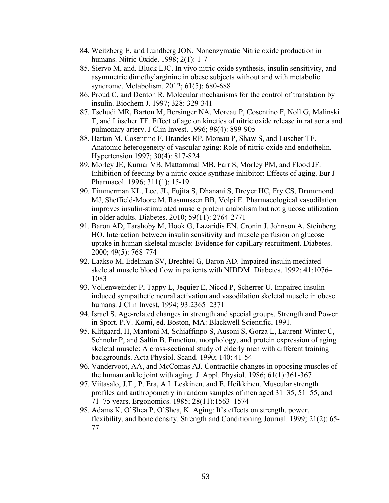- 84. Weitzberg E, and Lundberg JON. Nonenzymatic Nitric oxide production in humans. Nitric Oxide. 1998; 2(1): 1-7
- 85. Siervo M, and. Bluck LJC. In vivo nitric oxide synthesis, insulin sensitivity, and asymmetric dimethylarginine in obese subjects without and with metabolic syndrome. Metabolism. 2012; 61(5): 680-688
- 86. Proud C, and Denton R. Molecular mechanisms for the control of translation by insulin. Biochem J. 1997; 328: 329-341
- 87. Tschudi MR, Barton M, Bersinger NA, Moreau P, Cosentino F, Noll G, Malinski T, and Lüscher TF. Effect of age on kinetics of nitric oxide release in rat aorta and pulmonary artery. J Clin Invest. 1996; 98(4): 899-905
- 88. Barton M, Cosentino F, Brandes RP, Moreau P, Shaw S, and Luscher TF. Anatomic heterogeneity of vascular aging: Role of nitric oxide and endothelin. Hypertension 1997; 30(4): 817-824
- 89. Morley JE, Kumar VB, Mattammal MB, Farr S, Morley PM, and Flood JF. Inhibition of feeding by a nitric oxide synthase inhibitor: Effects of aging. Eur J Pharmacol. 1996; 311(1): 15-19
- 90. Timmerman KL, Lee, JL, Fujita S, Dhanani S, Dreyer HC, Fry CS, Drummond MJ, Sheffield-Moore M, Rasmussen BB, Volpi E. Pharmacological vasodilation improves insulin-stimulated muscle protein anabolism but not glucose utilization in older adults. Diabetes. 2010; 59(11): 2764-2771
- 91. Baron AD, Tarshoby M, Hook G, Lazaridis EN, Cronin J, Johnson A, Steinberg HO. Interaction between insulin sensitivity and muscle perfusion on glucose uptake in human skeletal muscle: Evidence for capillary recruitment. Diabetes. 2000; 49(5): 768-774
- 92. Laakso M, Edelman SV, Brechtel G, Baron AD. Impaired insulin mediated skeletal muscle blood flow in patients with NIDDM. Diabetes. 1992; 41:1076– 1083
- 93. Vollenweinder P, Tappy L, Jequier E, Nicod P, Scherrer U. Impaired insulin induced sympathetic neural activation and vasodilation skeletal muscle in obese humans. J Clin Invest. 1994; 93:2365–2371
- 94. Israel S. Age-related changes in strength and special groups. Strength and Power in Sport. P.V. Komi, ed. Boston, MA: Blackwell Scientific, 1991.
- 95. Klitgaard, H, Mantoni M, Schiaffinpo S, Ausoni S, Gorza L, Laurent-Winter C, Schnohr P, and Saltin B. Function, morphology, and protein expression of aging skeletal muscle: A cross-sectional study of elderly men with different training backgrounds. Acta Physiol. Scand. 1990; 140: 41-54
- 96. Vandervoot, AA, and McComas AJ. Contractile changes in opposing muscles of the human ankle joint with aging. J. Appl. Physiol. 1986; 61(1):361-367
- 97. Viitasalo, J.T., P. Era, A.L Leskinen, and E. Heikkinen. Muscular strength profiles and anthropometry in random samples of men aged 31–35, 51–55, and 71–75 years. Ergonomics. 1985; 28(11):1563–1574
- 98. Adams K, O'Shea P, O'Shea, K. Aging: It's effects on strength, power, flexibility, and bone density. Strength and Conditioning Journal. 1999; 21(2): 65- 77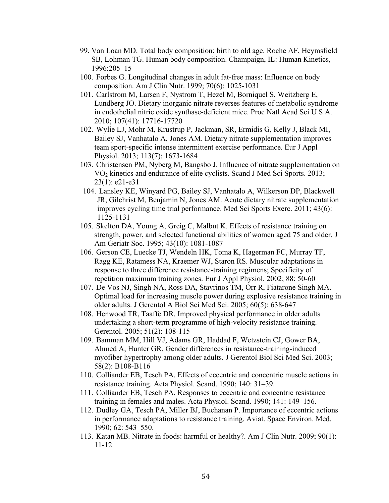- 99. Van Loan MD. Total body composition: birth to old age. Roche AF, Heymsfield SB, Lohman TG. Human body composition. Champaign, IL: Human Kinetics, 1996:205–15
- 100. Forbes G. Longitudinal changes in adult fat-free mass: Influence on body composition. Am J Clin Nutr. 1999; 70(6): 1025-1031
- 101. Carlstrom M, Larsen F, Nystrom T, Hezel M, Borniquel S, Weitzberg E, Lundberg JO. Dietary inorganic nitrate reverses features of metabolic syndrome in endothelial nitric oxide synthase-deficient mice. Proc Natl Acad Sci U S A. 2010; 107(41): 17716-17720
- 102. Wylie LJ, Mohr M, Krustrup P, Jackman, SR, Ermidis G, Kelly J, Black MI, Bailey SJ, Vanhatalo A, Jones AM. Dietary nitrate supplementation improves team sport-specific intense intermittent exercise performance. Eur J Appl Physiol. 2013; 113(7): 1673-1684
- 103. Christensen PM, Nyberg M, Bangsbo J. Influence of nitrate supplementation on VO2 kinetics and endurance of elite cyclists. Scand J Med Sci Sports. 2013; 23(1): e21-e31
- 104. Lansley KE, Winyard PG, Bailey SJ, Vanhatalo A, Wilkerson DP, Blackwell JR, Gilchrist M, Benjamin N, Jones AM. Acute dietary nitrate supplementation improves cycling time trial performance. Med Sci Sports Exerc. 2011; 43(6): 1125-1131
- 105. Skelton DA, Young A, Greig C, Malbut K. Effects of resistance training on strength, power, and selected functional abilities of women aged 75 and older. J Am Geriatr Soc. 1995; 43(10): 1081-1087
- 106. Gerson CE, Luecke TJ, Wendeln HK, Toma K, Hagerman FC, Murray TF, Ragg KE, Ratamess NA, Kraemer WJ, Staron RS. Muscular adaptations in response to three difference resistance-training regimens; Specificity of repetition maximum training zones. Eur J Appl Physiol. 2002; 88: 50-60
- 107. De Vos NJ, Singh NA, Ross DA, Stavrinos TM, Orr R, Fiatarone Singh MA. Optimal load for increasing muscle power during explosive resistance training in older adults. J Gerentol A Biol Sci Med Sci. 2005; 60(5): 638-647
- 108. Henwood TR, Taaffe DR. Improved physical performance in older adults undertaking a short-term programme of high-velocity resistance training. Gerentol. 2005; 51(2): 108-115
- 109. Bamman MM, Hill VJ, Adams GR, Haddad F, Wetzstein CJ, Gower BA, Ahmed A, Hunter GR. Gender differences in resistance-training-induced myofiber hypertrophy among older adults. J Gerentol Biol Sci Med Sci. 2003; 58(2): B108-B116
- 110. Colliander EB, Tesch PA. Effects of eccentric and concentric muscle actions in resistance training. Acta Physiol. Scand. 1990; 140: 31–39.
- 111. Colliander EB, Tesch PA. Responses to eccentric and concentric resistance training in females and males. Acta Physiol. Scand. 1990; 141: 149–156.
- 112. Dudley GA, Tesch PA, Miller BJ, Buchanan P. Importance of eccentric actions in performance adaptations to resistance training. Aviat. Space Environ. Med. 1990; 62: 543–550.
- 113. Katan MB. Nitrate in foods: harmful or healthy?. Am J Clin Nutr. 2009; 90(1): 11-12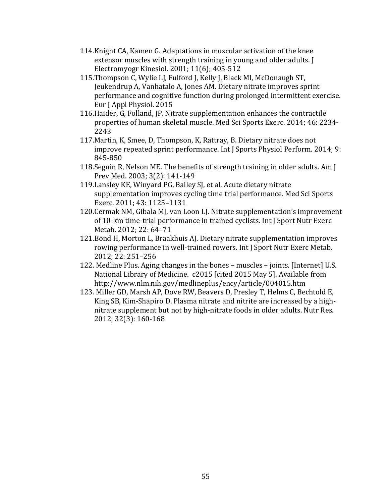- 114. Knight CA, Kamen G. Adaptations in muscular activation of the knee extensor muscles with strength training in young and older adults. I Electromyogr Kinesiol.  $2001$ ;  $11(6)$ ;  $405-512$
- 115. Thompson C, Wylie LJ, Fulford J, Kelly J, Black MI, McDonaugh ST, Jeukendrup A, Vanhatalo A, Jones AM. Dietary nitrate improves sprint performance and cognitive function during prolonged intermittent exercise. Eur J Appl Physiol. 2015
- 116. Haider, G. Folland, JP. Nitrate supplementation enhances the contractile properties of human skeletal muscle. Med Sci Sports Exerc. 2014; 46: 2234-2243
- 117. Martin, K, Smee, D, Thompson, K, Rattray, B. Dietary nitrate does not improve repeated sprint performance. Int J Sports Physiol Perform. 2014; 9: 845-850
- 118. Seguin R, Nelson ME. The benefits of strength training in older adults. Am I Prev Med. 2003; 3(2): 141-149
- 119. Lansley KE, Winyard PG, Bailey SJ, et al. Acute dietary nitrate supplementation improves cycling time trial performance. Med Sci Sports Exerc. 2011; 43: 1125-1131
- 120.Cermak NM, Gibala MJ, van Loon LJ. Nitrate supplementation's improvement of 10-km time-trial performance in trained cyclists. Int J Sport Nutr Exerc Metab. 2012; 22: 64-71
- 121.Bond H, Morton L, Braakhuis AJ. Dietary nitrate supplementation improves rowing performance in well-trained rowers. Int J Sport Nutr Exerc Metab. 2012; 22: 251–256
- 122. Medline Plus. Aging changes in the bones muscles joints. [Internet] U.S. National Library of Medicine. c2015 [cited 2015 May 5]. Available from http://www.nlm.nih.gov/medlineplus/ency/article/004015.htm
- 123. Miller GD, Marsh AP, Dove RW, Beavers D, Presley T, Helms C, Bechtold E, King SB, Kim-Shapiro D. Plasma nitrate and nitrite are increased by a highnitrate supplement but not by high-nitrate foods in older adults. Nutr Res. 2012; 32(3): 160-168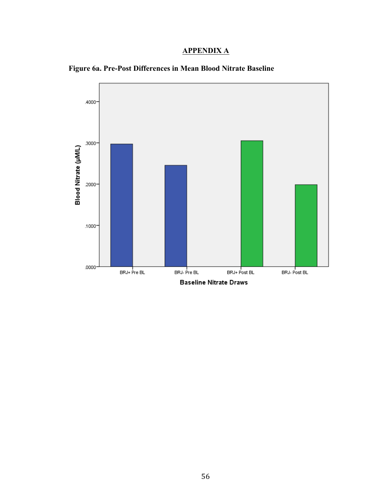## **APPENDIX A**



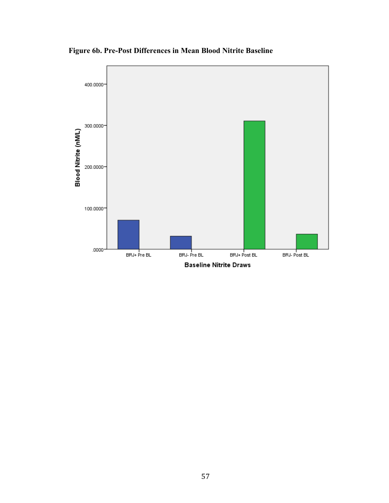

**Figure 6b. Pre-Post Differences in Mean Blood Nitrite Baseline**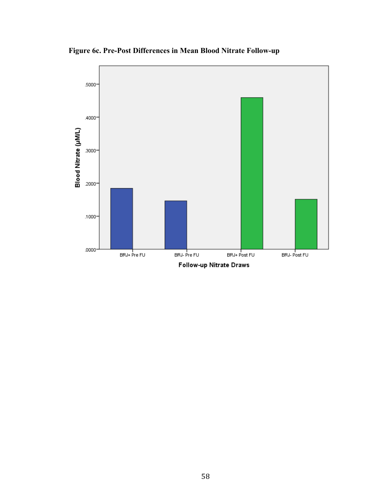**Figure 6c. Pre-Post Differences in Mean Blood Nitrate Follow-up**

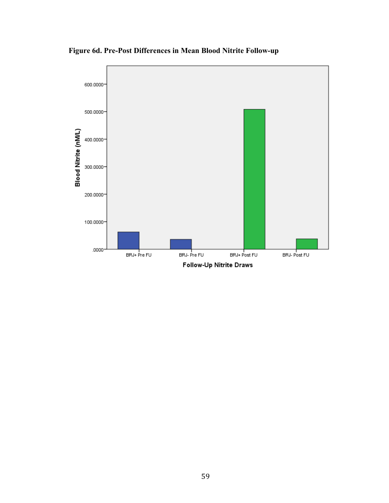

**Figure 6d. Pre-Post Differences in Mean Blood Nitrite Follow-up**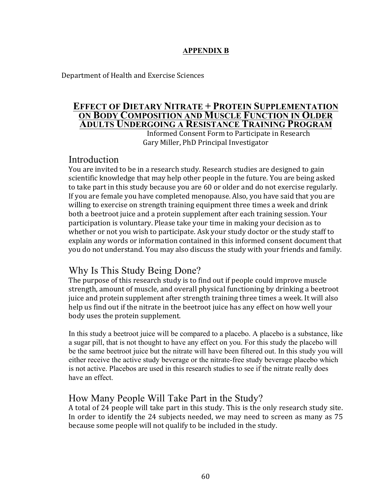## **APPENDIX B**

Department of Health and Exercise Sciences

## **EFFECT OF DIETARY NITRATE + PROTEIN SUPPLEMENTATION ON BODY COMPOSITION AND MUSCLE FUNCTION IN OLDER ADULTS UNDERGOING A RESISTANCE TRAINING PROGRAM**

Informed Consent Form to Participate in Research Gary Miller, PhD Principal Investigator

# **Introduction**

You are invited to be in a research study. Research studies are designed to gain scientific knowledge that may help other people in the future. You are being asked to take part in this study because you are 60 or older and do not exercise regularly. If you are female you have completed menopause. Also, you have said that you are willing to exercise on strength training equipment three times a week and drink both a beetroot juice and a protein supplement after each training session. Your participation is voluntary. Please take your time in making your decision as to whether or not you wish to participate. Ask your study doctor or the study staff to explain any words or information contained in this informed consent document that you do not understand. You may also discuss the study with your friends and family.

# Why Is This Study Being Done?

The purpose of this research study is to find out if people could improve muscle strength, amount of muscle, and overall physical functioning by drinking a beetroot juice and protein supplement after strength training three times a week. It will also help us find out if the nitrate in the beetroot juice has any effect on how well your body uses the protein supplement.

In this study a beetroot juice will be compared to a placebo. A placebo is a substance, like a sugar pill, that is not thought to have any effect on you. For this study the placebo will be the same beetroot juice but the nitrate will have been filtered out. In this study you will either receive the active study beverage or the nitrate-free study beverage placebo which is not active. Placebos are used in this research studies to see if the nitrate really does have an effect.

## How Many People Will Take Part in the Study?

A total of 24 people will take part in this study. This is the only research study site. In order to identify the 24 subjects needed, we may need to screen as many as 75 because some people will not qualify to be included in the study.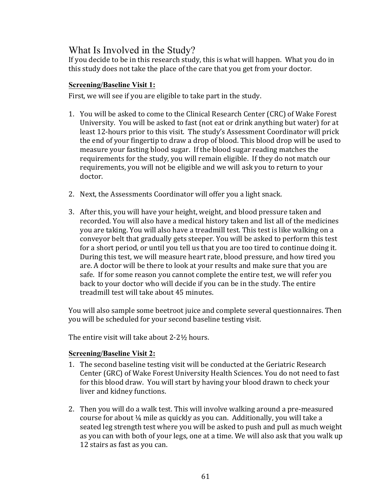# What Is Involved in the Study?

If you decide to be in this research study, this is what will happen. What you do in this study does not take the place of the care that you get from your doctor.

## **Screening/Baseline Visit 1:**

First, we will see if you are eligible to take part in the study.

- 1. You will be asked to come to the Clinical Research Center (CRC) of Wake Forest University. You will be asked to fast (not eat or drink anything but water) for at least 12-hours prior to this visit. The study's Assessment Coordinator will prick the end of your fingertip to draw a drop of blood. This blood drop will be used to measure your fasting blood sugar. If the blood sugar reading matches the requirements for the study, you will remain eligible. If they do not match our requirements, you will not be eligible and we will ask you to return to your doctor.
- 2. Next, the Assessments Coordinator will offer you a light snack.
- 3. After this, you will have your height, weight, and blood pressure taken and recorded. You will also have a medical history taken and list all of the medicines you are taking. You will also have a treadmill test. This test is like walking on a conveyor belt that gradually gets steeper. You will be asked to perform this test for a short period, or until you tell us that you are too tired to continue doing it. During this test, we will measure heart rate, blood pressure, and how tired you are. A doctor will be there to look at your results and make sure that you are safe. If for some reason you cannot complete the entire test, we will refer you back to your doctor who will decide if you can be in the study. The entire treadmill test will take about 45 minutes.

You will also sample some beetroot juice and complete several questionnaires. Then you will be scheduled for your second baseline testing visit.

The entire visit will take about  $2-2\frac{1}{2}$  hours.

## **Screening/Baseline Visit 2:**

- 1. The second baseline testing visit will be conducted at the Geriatric Research Center (GRC) of Wake Forest University Health Sciences. You do not need to fast for this blood draw. You will start by having your blood drawn to check your liver and kidney functions.
- 2. Then you will do a walk test. This will involve walking around a pre-measured course for about  $\frac{1}{4}$  mile as quickly as you can. Additionally, you will take a seated leg strength test where you will be asked to push and pull as much weight as you can with both of your legs, one at a time. We will also ask that you walk up 12 stairs as fast as you can.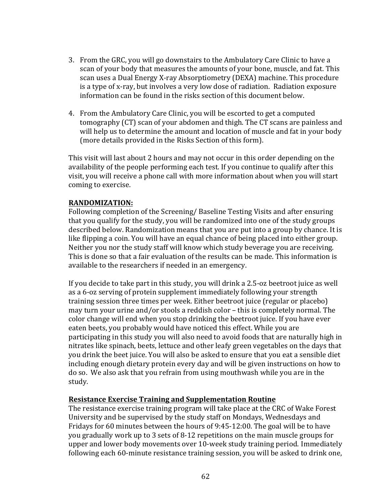- 3. From the GRC, you will go downstairs to the Ambulatory Care Clinic to have a scan of your body that measures the amounts of your bone, muscle, and fat. This scan uses a Dual Energy X-ray Absorptiometry (DEXA) machine. This procedure is a type of x-ray, but involves a very low dose of radiation. Radiation exposure information can be found in the risks section of this document below.
- 4. From the Ambulatory Care Clinic, you will be escorted to get a computed tomography (CT) scan of your abdomen and thigh. The CT scans are painless and will help us to determine the amount and location of muscle and fat in your body (more details provided in the Risks Section of this form).

This visit will last about 2 hours and may not occur in this order depending on the availability of the people performing each test. If you continue to qualify after this visit, you will receive a phone call with more information about when you will start coming to exercise.

## **RANDOMIZATION:**

Following completion of the Screening/ Baseline Testing Visits and after ensuring that you qualify for the study, you will be randomized into one of the study groups described below. Randomization means that you are put into a group by chance. It is like flipping a coin. You will have an equal chance of being placed into either group. Neither you nor the study staff will know which study beverage you are receiving. This is done so that a fair evaluation of the results can be made. This information is available to the researchers if needed in an emergency.

If you decide to take part in this study, you will drink a  $2.5$ -oz beetroot juice as well as a 6-oz serving of protein supplement immediately following your strength training session three times per week. Either beetroot juice (regular or placebo) may turn your urine and/or stools a reddish color – this is completely normal. The color change will end when you stop drinking the beetroot juice. If you have ever eaten beets, you probably would have noticed this effect. While you are participating in this study you will also need to avoid foods that are naturally high in nitrates like spinach, beets, lettuce and other leafy green vegetables on the days that you drink the beet juice. You will also be asked to ensure that you eat a sensible diet including enough dietary protein every day and will be given instructions on how to do so. We also ask that you refrain from using mouthwash while you are in the study. 

## **Resistance Exercise Training and Supplementation Routine**

The resistance exercise training program will take place at the CRC of Wake Forest University and be supervised by the study staff on Mondays, Wednesdays and Fridays for 60 minutes between the hours of  $9:45-12:00$ . The goal will be to have you gradually work up to 3 sets of 8-12 repetitions on the main muscle groups for upper and lower body movements over 10-week study training period. Immediately following each 60-minute resistance training session, you will be asked to drink one,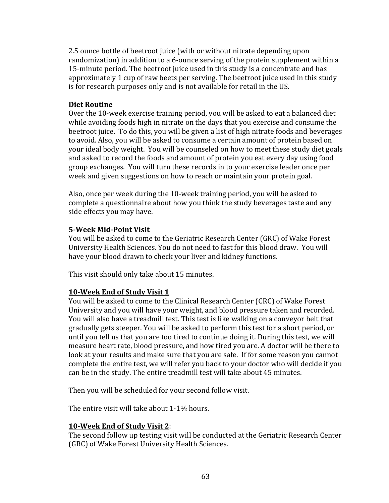2.5 ounce bottle of beetroot juice (with or without nitrate depending upon randomization) in addition to a 6-ounce serving of the protein supplement within a 15-minute period. The beetroot juice used in this study is a concentrate and has approximately 1 cup of raw beets per serving. The beetroot juice used in this study is for research purposes only and is not available for retail in the US.

## **Diet Routine**

Over the 10-week exercise training period, you will be asked to eat a balanced diet while avoiding foods high in nitrate on the days that you exercise and consume the beetroot juice. To do this, you will be given a list of high nitrate foods and beverages to avoid. Also, you will be asked to consume a certain amount of protein based on your ideal body weight. You will be counseled on how to meet these study diet goals and asked to record the foods and amount of protein you eat every day using food group exchanges. You will turn these records in to your exercise leader once per week and given suggestions on how to reach or maintain your protein goal.

Also, once per week during the 10-week training period, you will be asked to complete a questionnaire about how you think the study beverages taste and any side effects you may have.

## **5-Week Mid-Point Visit**

You will be asked to come to the Geriatric Research Center (GRC) of Wake Forest University Health Sciences. You do not need to fast for this blood draw. You will have your blood drawn to check your liver and kidney functions.

This visit should only take about 15 minutes.

## **10-Week End of Study Visit 1**

You will be asked to come to the Clinical Research Center (CRC) of Wake Forest University and you will have your weight, and blood pressure taken and recorded. You will also have a treadmill test. This test is like walking on a conveyor belt that gradually gets steeper. You will be asked to perform this test for a short period, or until you tell us that you are too tired to continue doing it. During this test, we will measure heart rate, blood pressure, and how tired you are. A doctor will be there to look at your results and make sure that you are safe. If for some reason you cannot complete the entire test, we will refer you back to your doctor who will decide if you can be in the study. The entire treadmill test will take about 45 minutes.

Then you will be scheduled for your second follow visit.

The entire visit will take about  $1-1\frac{1}{2}$  hours.

## **10-Week End of Study Visit 2**:

The second follow up testing visit will be conducted at the Geriatric Research Center (GRC) of Wake Forest University Health Sciences.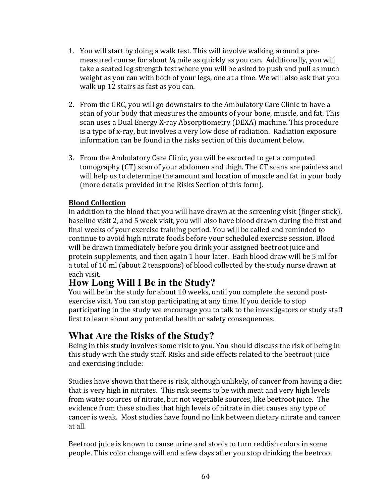- 1. You will start by doing a walk test. This will involve walking around a premeasured course for about  $\frac{1}{4}$  mile as quickly as you can. Additionally, you will take a seated leg strength test where you will be asked to push and pull as much weight as you can with both of your legs, one at a time. We will also ask that you walk up 12 stairs as fast as you can.
- 2. From the GRC, you will go downstairs to the Ambulatory Care Clinic to have a scan of your body that measures the amounts of your bone, muscle, and fat. This scan uses a Dual Energy X-ray Absorptiometry (DEXA) machine. This procedure is a type of x-ray, but involves a very low dose of radiation. Radiation exposure information can be found in the risks section of this document below.
- 3. From the Ambulatory Care Clinic, you will be escorted to get a computed tomography (CT) scan of your abdomen and thigh. The CT scans are painless and will help us to determine the amount and location of muscle and fat in your body (more details provided in the Risks Section of this form).

#### **Blood Collection**

In addition to the blood that you will have drawn at the screening visit (finger stick), baseline visit 2, and 5 week visit, you will also have blood drawn during the first and final weeks of your exercise training period. You will be called and reminded to continue to avoid high nitrate foods before your scheduled exercise session. Blood will be drawn immediately before you drink your assigned beetroot juice and protein supplements, and then again 1 hour later. Each blood draw will be 5 ml for a total of 10 ml (about 2 teaspoons) of blood collected by the study nurse drawn at each visit.

## **How Long Will I Be in the Study?**

You will be in the study for about 10 weeks, until you complete the second postexercise visit. You can stop participating at any time. If you decide to stop participating in the study we encourage you to talk to the investigators or study staff first to learn about any potential health or safety consequences.

## **What Are the Risks of the Study?**

Being in this study involves some risk to you. You should discuss the risk of being in this study with the study staff. Risks and side effects related to the beetroot juice and exercising include:

Studies have shown that there is risk, although unlikely, of cancer from having a diet that is very high in nitrates. This risk seems to be with meat and very high levels from water sources of nitrate, but not vegetable sources, like beetroot juice. The evidence from these studies that high levels of nitrate in diet causes any type of cancer is weak. Most studies have found no link between dietary nitrate and cancer at all.

Beetroot juice is known to cause urine and stools to turn reddish colors in some people. This color change will end a few days after you stop drinking the beetroot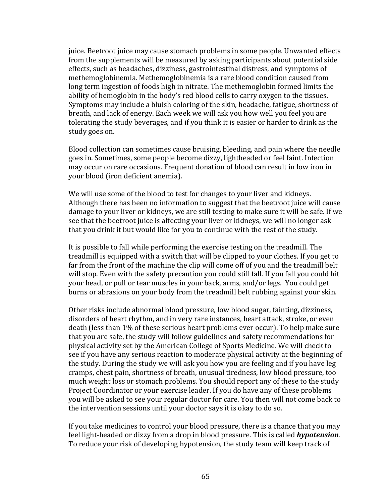juice. Beetroot juice may cause stomach problems in some people. Unwanted effects from the supplements will be measured by asking participants about potential side effects, such as headaches, dizziness, gastrointestinal distress, and symptoms of methemoglobinemia. Methemoglobinemia is a rare blood condition caused from long term ingestion of foods high in nitrate. The methemoglobin formed limits the ability of hemoglobin in the body's red blood cells to carry oxygen to the tissues. Symptoms may include a bluish coloring of the skin, headache, fatigue, shortness of breath, and lack of energy. Each week we will ask you how well you feel you are tolerating the study beverages, and if you think it is easier or harder to drink as the study goes on.

Blood collection can sometimes cause bruising, bleeding, and pain where the needle goes in. Sometimes, some people become dizzy, lightheaded or feel faint. Infection may occur on rare occasions. Frequent donation of blood can result in low iron in your blood (iron deficient anemia).

We will use some of the blood to test for changes to your liver and kidneys. Although there has been no information to suggest that the beetroot juice will cause damage to your liver or kidneys, we are still testing to make sure it will be safe. If we see that the beetroot juice is affecting your liver or kidneys, we will no longer ask that you drink it but would like for you to continue with the rest of the study.

It is possible to fall while performing the exercise testing on the treadmill. The treadmill is equipped with a switch that will be clipped to your clothes. If you get to far from the front of the machine the clip will come off of you and the treadmill belt will stop. Even with the safety precaution you could still fall. If you fall you could hit your head, or pull or tear muscles in your back, arms, and/or legs. You could get burns or abrasions on your body from the treadmill belt rubbing against your skin.

Other risks include abnormal blood pressure, low blood sugar, fainting, dizziness, disorders of heart rhythm, and in very rare instances, heart attack, stroke, or even death (less than 1% of these serious heart problems ever occur). To help make sure that you are safe, the study will follow guidelines and safety recommendations for physical activity set by the American College of Sports Medicine. We will check to see if you have any serious reaction to moderate physical activity at the beginning of the study. During the study we will ask you how you are feeling and if you have leg cramps, chest pain, shortness of breath, unusual tiredness, low blood pressure, too much weight loss or stomach problems. You should report any of these to the study Project Coordinator or your exercise leader. If you do have any of these problems you will be asked to see your regular doctor for care. You then will not come back to the intervention sessions until your doctor says it is okay to do so.

If you take medicines to control your blood pressure, there is a chance that you may feel light-headed or dizzy from a drop in blood pressure. This is called *hypotension*. To reduce your risk of developing hypotension, the study team will keep track of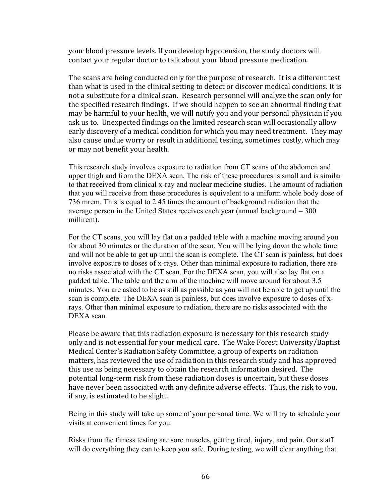your blood pressure levels. If you develop hypotension, the study doctors will contact your regular doctor to talk about your blood pressure medication.

The scans are being conducted only for the purpose of research. It is a different test than what is used in the clinical setting to detect or discover medical conditions. It is not a substitute for a clinical scan. Research personnel will analyze the scan only for the specified research findings. If we should happen to see an abnormal finding that may be harmful to your health, we will notify you and your personal physician if you ask us to. Unexpected findings on the limited research scan will occasionally allow early discovery of a medical condition for which you may need treatment. They may also cause undue worry or result in additional testing, sometimes costly, which may or may not benefit your health.

This research study involves exposure to radiation from CT scans of the abdomen and upper thigh and from the DEXA scan. The risk of these procedures is small and is similar to that received from clinical x-ray and nuclear medicine studies. The amount of radiation that you will receive from these procedures is equivalent to a uniform whole body dose of 736 mrem. This is equal to 2.45 times the amount of background radiation that the average person in the United States receives each year (annual background  $= 300$ ) millirem).

For the CT scans, you will lay flat on a padded table with a machine moving around you for about 30 minutes or the duration of the scan. You will be lying down the whole time and will not be able to get up until the scan is complete. The CT scan is painless, but does involve exposure to doses of x-rays. Other than minimal exposure to radiation, there are no risks associated with the CT scan. For the DEXA scan, you will also lay flat on a padded table. The table and the arm of the machine will move around for about 3.5 minutes. You are asked to be as still as possible as you will not be able to get up until the scan is complete. The DEXA scan is painless, but does involve exposure to doses of xrays. Other than minimal exposure to radiation, there are no risks associated with the DEXA scan.

Please be aware that this radiation exposure is necessary for this research study only and is not essential for your medical care. The Wake Forest University/Baptist Medical Center's Radiation Safety Committee, a group of experts on radiation matters, has reviewed the use of radiation in this research study and has approved this use as being necessary to obtain the research information desired. The potential long-term risk from these radiation doses is uncertain, but these doses have never been associated with any definite adverse effects. Thus, the risk to you, if any, is estimated to be slight.

Being in this study will take up some of your personal time. We will try to schedule your visits at convenient times for you.

Risks from the fitness testing are sore muscles, getting tired, injury, and pain. Our staff will do everything they can to keep you safe. During testing, we will clear anything that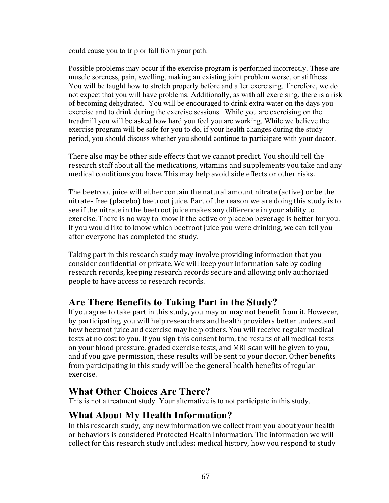could cause you to trip or fall from your path.

Possible problems may occur if the exercise program is performed incorrectly. These are muscle soreness, pain, swelling, making an existing joint problem worse, or stiffness. You will be taught how to stretch properly before and after exercising. Therefore, we do not expect that you will have problems. Additionally, as with all exercising, there is a risk of becoming dehydrated. You will be encouraged to drink extra water on the days you exercise and to drink during the exercise sessions. While you are exercising on the treadmill you will be asked how hard you feel you are working. While we believe the exercise program will be safe for you to do, if your health changes during the study period, you should discuss whether you should continue to participate with your doctor.

There also may be other side effects that we cannot predict. You should tell the research staff about all the medications, vitamins and supplements you take and any medical conditions you have. This may help avoid side effects or other risks.

The beetroot juice will either contain the natural amount nitrate (active) or be the nitrate- free (placebo) beetroot juice. Part of the reason we are doing this study is to see if the nitrate in the beetroot juice makes any difference in your ability to exercise. There is no way to know if the active or placebo beverage is better for you. If you would like to know which beetroot juice you were drinking, we can tell you after everyone has completed the study.

Taking part in this research study may involve providing information that you consider confidential or private. We will keep your information safe by coding research records, keeping research records secure and allowing only authorized people to have access to research records.

## **Are There Benefits to Taking Part in the Study?**

If you agree to take part in this study, you may or may not benefit from it. However, by participating, you will help researchers and health providers better understand how beetroot juice and exercise may help others. You will receive regular medical tests at no cost to you. If you sign this consent form, the results of all medical tests on your blood pressure, graded exercise tests, and MRI scan will be given to you, and if you give permission, these results will be sent to your doctor. Other benefits from participating in this study will be the general health benefits of regular exercise.

## **What Other Choices Are There?**

This is not a treatment study. Your alternative is to not participate in this study.

## **What About My Health Information?**

In this research study, any new information we collect from you about your health or behaviors is considered Protected Health Information. The information we will collect for this research study includes: medical history, how you respond to study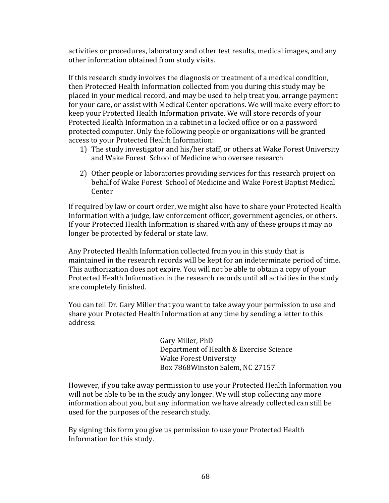activities or procedures, laboratory and other test results, medical images, and any other information obtained from study visits.

If this research study involves the diagnosis or treatment of a medical condition, then Protected Health Information collected from you during this study may be placed in your medical record, and may be used to help treat you, arrange payment for your care, or assist with Medical Center operations. We will make every effort to keep your Protected Health Information private. We will store records of your Protected Health Information in a cabinet in a locked office or on a password protected computer. Only the following people or organizations will be granted access to your Protected Health Information:

- 1) The study investigator and his/her staff, or others at Wake Forest University and Wake Forest School of Medicine who oversee research
- 2) Other people or laboratories providing services for this research project on behalf of Wake Forest School of Medicine and Wake Forest Baptist Medical Center

If required by law or court order, we might also have to share your Protected Health Information with a judge, law enforcement officer, government agencies, or others. If your Protected Health Information is shared with any of these groups it may no longer be protected by federal or state law.

Any Protected Health Information collected from you in this study that is maintained in the research records will be kept for an indeterminate period of time. This authorization does not expire. You will not be able to obtain a copy of your Protected Health Information in the research records until all activities in the study are completely finished.

You can tell Dr. Gary Miller that you want to take away your permission to use and share your Protected Health Information at any time by sending a letter to this address:

> Gary Miller, PhD Department of Health & Exercise Science Wake Forest University Box 7868Winston Salem, NC 27157

However, if you take away permission to use your Protected Health Information you will not be able to be in the study any longer. We will stop collecting any more information about you, but any information we have already collected can still be used for the purposes of the research study.

By signing this form you give us permission to use your Protected Health Information for this study.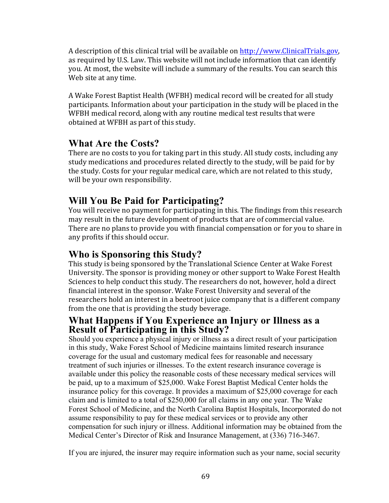A description of this clinical trial will be available on http://www.ClinicalTrials.gov, as required by U.S. Law. This website will not include information that can identify you. At most, the website will include a summary of the results. You can search this Web site at any time.

A Wake Forest Baptist Health (WFBH) medical record will be created for all study participants. Information about your participation in the study will be placed in the WFBH medical record, along with any routine medical test results that were obtained at WFBH as part of this study.

## **What Are the Costs?**

There are no costs to you for taking part in this study. All study costs, including any study medications and procedures related directly to the study, will be paid for by the study. Costs for your regular medical care, which are not related to this study, will be your own responsibility.

## **Will You Be Paid for Participating?**

You will receive no payment for participating in this. The findings from this research may result in the future development of products that are of commercial value. There are no plans to provide you with financial compensation or for you to share in any profits if this should occur.

## **Who is Sponsoring this Study?**

This study is being sponsored by the Translational Science Center at Wake Forest University. The sponsor is providing money or other support to Wake Forest Health Sciences to help conduct this study. The researchers do not, however, hold a direct financial interest in the sponsor. Wake Forest University and several of the researchers hold an interest in a beetroot juice company that is a different company from the one that is providing the study beverage.

### **What Happens if You Experience an Injury or Illness as a Result of Participating in this Study?**

Should you experience a physical injury or illness as a direct result of your participation in this study, Wake Forest School of Medicine maintains limited research insurance coverage for the usual and customary medical fees for reasonable and necessary treatment of such injuries or illnesses. To the extent research insurance coverage is available under this policy the reasonable costs of these necessary medical services will be paid, up to a maximum of \$25,000. Wake Forest Baptist Medical Center holds the insurance policy for this coverage. It provides a maximum of \$25,000 coverage for each claim and is limited to a total of \$250,000 for all claims in any one year. The Wake Forest School of Medicine, and the North Carolina Baptist Hospitals, Incorporated do not assume responsibility to pay for these medical services or to provide any other compensation for such injury or illness. Additional information may be obtained from the Medical Center's Director of Risk and Insurance Management, at (336) 716-3467.

If you are injured, the insurer may require information such as your name, social security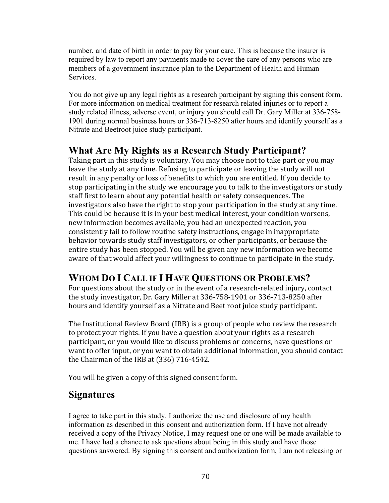number, and date of birth in order to pay for your care. This is because the insurer is required by law to report any payments made to cover the care of any persons who are members of a government insurance plan to the Department of Health and Human Services.

You do not give up any legal rights as a research participant by signing this consent form. For more information on medical treatment for research related injuries or to report a study related illness, adverse event, or injury you should call Dr. Gary Miller at 336-758- 1901 during normal business hours or 336-713-8250 after hours and identify yourself as a Nitrate and Beetroot juice study participant.

## **What Are My Rights as a Research Study Participant?**

Taking part in this study is voluntary. You may choose not to take part or you may leave the study at any time. Refusing to participate or leaving the study will not result in any penalty or loss of benefits to which you are entitled. If you decide to stop participating in the study we encourage you to talk to the investigators or study staff first to learn about any potential health or safety consequences. The investigators also have the right to stop your participation in the study at any time. This could be because it is in your best medical interest, your condition worsens, new information becomes available, you had an unexpected reaction, you consistently fail to follow routine safety instructions, engage in inappropriate behavior towards study staff investigators, or other participants, or because the entire study has been stopped. You will be given any new information we become aware of that would affect your willingness to continue to participate in the study.

## **WHOM DO I CALL IF I HAVE QUESTIONS OR PROBLEMS?**

For questions about the study or in the event of a research-related injury, contact the study investigator, Dr. Gary Miller at 336-758-1901 or 336-713-8250 after hours and identify yourself as a Nitrate and Beet root juice study participant.

The Institutional Review Board (IRB) is a group of people who review the research to protect your rights. If you have a question about your rights as a research participant, or you would like to discuss problems or concerns, have questions or want to offer input, or you want to obtain additional information, you should contact the Chairman of the IRB at  $(336)$  716-4542.

You will be given a copy of this signed consent form.

## **Signatures**

I agree to take part in this study. I authorize the use and disclosure of my health information as described in this consent and authorization form. If I have not already received a copy of the Privacy Notice, I may request one or one will be made available to me. I have had a chance to ask questions about being in this study and have those questions answered. By signing this consent and authorization form, I am not releasing or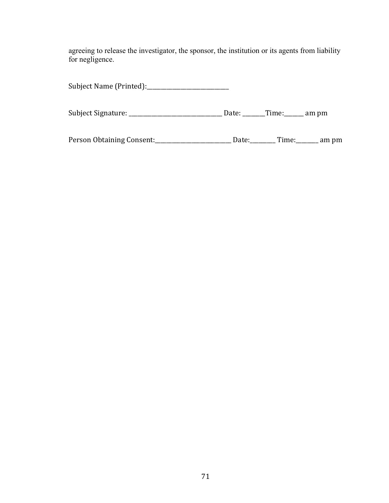agreeing to release the investigator, the sponsor, the institution or its agents from liability for negligence.

|                           | Date: | ___Time:___ | am pm |
|---------------------------|-------|-------------|-------|
| Person Obtaining Consent: | Date: | Time:       | am pm |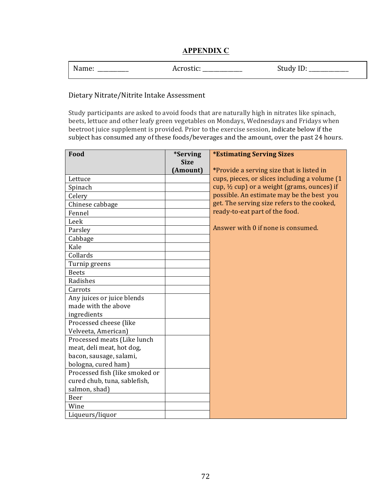#### **APPENDIX C**

| Name: | Acrostic: | Study ID: |
|-------|-----------|-----------|
|-------|-----------|-----------|

#### Dietary Nitrate/Nitrite Intake Assessment

Study participants are asked to avoid foods that are naturally high in nitrates like spinach, beets, lettuce and other leafy green vegetables on Mondays, Wednesdays and Fridays when beetroot juice supplement is provided. Prior to the exercise session, indicate below if the subject has consumed any of these foods/beverages and the amount, over the past 24 hours.

| Food                           | <i>*Serving</i> | <b>*Estimating Serving Sizes</b>                       |
|--------------------------------|-----------------|--------------------------------------------------------|
|                                | <b>Size</b>     |                                                        |
|                                | (Amount)        | *Provide a serving size that is listed in              |
| Lettuce                        |                 | cups, pieces, or slices including a volume (1          |
| Spinach                        |                 | cup, $\frac{1}{2}$ cup) or a weight (grams, ounces) if |
| Celery                         |                 | possible. An estimate may be the best you              |
| Chinese cabbage                |                 | get. The serving size refers to the cooked,            |
| Fennel                         |                 | ready-to-eat part of the food.                         |
| Leek                           |                 |                                                        |
| Parsley                        |                 | Answer with 0 if none is consumed.                     |
| Cabbage                        |                 |                                                        |
| Kale                           |                 |                                                        |
| Collards                       |                 |                                                        |
| Turnip greens                  |                 |                                                        |
| <b>Beets</b>                   |                 |                                                        |
| Radishes                       |                 |                                                        |
| Carrots                        |                 |                                                        |
| Any juices or juice blends     |                 |                                                        |
| made with the above            |                 |                                                        |
| ingredients                    |                 |                                                        |
| Processed cheese (like         |                 |                                                        |
| Velveeta, American)            |                 |                                                        |
| Processed meats (Like lunch    |                 |                                                        |
| meat, deli meat, hot dog,      |                 |                                                        |
| bacon, sausage, salami,        |                 |                                                        |
| bologna, cured ham)            |                 |                                                        |
| Processed fish (like smoked or |                 |                                                        |
| cured chub, tuna, sablefish,   |                 |                                                        |
| salmon, shad)                  |                 |                                                        |
| Beer                           |                 |                                                        |
| Wine                           |                 |                                                        |
| Liqueurs/liquor                |                 |                                                        |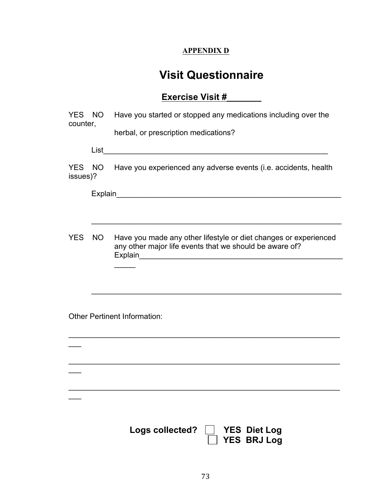### **APPENDIX D**

# **Visit Questionnaire**

## **Exercise Visit #\_\_\_\_\_\_\_**

| counter, |        | YES NO Have you started or stopped any medications including over the                                                                                                                       |
|----------|--------|---------------------------------------------------------------------------------------------------------------------------------------------------------------------------------------------|
|          |        | herbal, or prescription medications?                                                                                                                                                        |
|          |        |                                                                                                                                                                                             |
| issues)? |        | YES NO Have you experienced any adverse events (i.e. accidents, health                                                                                                                      |
|          |        |                                                                                                                                                                                             |
|          |        |                                                                                                                                                                                             |
|          | YES NO | Have you made any other lifestyle or diet changes or experienced<br>any other major life events that we should be aware of?<br>Explain<br><u> 1980 - Andrea Barbara, amerikan persoa da</u> |
|          |        |                                                                                                                                                                                             |
|          |        | <b>Other Pertinent Information:</b>                                                                                                                                                         |
|          |        |                                                                                                                                                                                             |
|          |        |                                                                                                                                                                                             |
|          |        |                                                                                                                                                                                             |
|          |        | Logs collected?<br><b>YES Diet Log</b><br><b>YES BRJ Log</b>                                                                                                                                |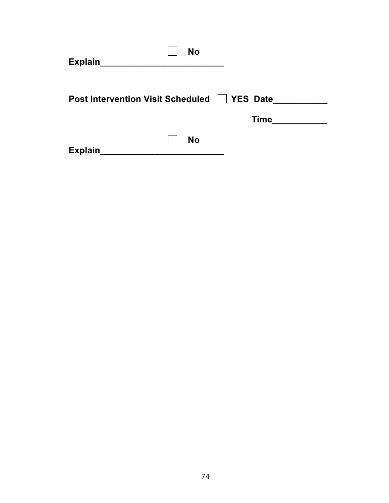| <b>No</b><br><b>Explain</b>       |                                |
|-----------------------------------|--------------------------------|
| Post Intervention Visit Scheduled | <b>YES Date</b><br><b>Time</b> |
| <b>No</b><br>Explain              |                                |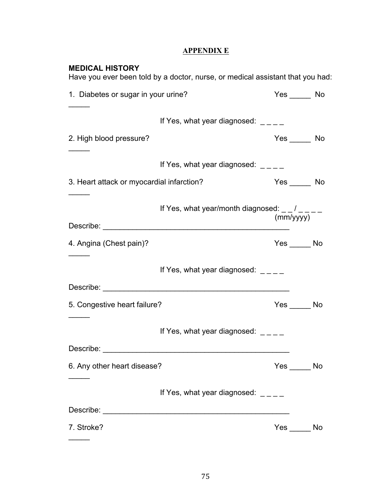### **APPENDIX E**

| <b>MEDICAL HISTORY</b>                                                                                                                                                                                                        | Have you ever been told by a doctor, nurse, or medical assistant that you had: |                |    |
|-------------------------------------------------------------------------------------------------------------------------------------------------------------------------------------------------------------------------------|--------------------------------------------------------------------------------|----------------|----|
| 1. Diabetes or sugar in your urine?                                                                                                                                                                                           |                                                                                | $Yes$ No       |    |
|                                                                                                                                                                                                                               | If Yes, what year diagnosed: $\angle$ _ _ _                                    |                |    |
| 2. High blood pressure?                                                                                                                                                                                                       |                                                                                | $Yes$ No       |    |
|                                                                                                                                                                                                                               | If Yes, what year diagnosed: $\frac{1}{2}$ $\frac{1}{2}$                       |                |    |
| 3. Heart attack or myocardial infarction?                                                                                                                                                                                     |                                                                                | $Yes$ No       |    |
| Describe: the contract of the contract of the contract of the contract of the contract of the contract of the contract of the contract of the contract of the contract of the contract of the contract of the contract of the | If Yes, what year/month diagnosed: $  /$ $  -$                                 | (mm/yyyy)      |    |
| 4. Angina (Chest pain)?                                                                                                                                                                                                       |                                                                                | $Yes \_\_\_No$ |    |
|                                                                                                                                                                                                                               | If Yes, what year diagnosed: $\frac{1}{2}$ $\frac{1}{2}$                       |                |    |
|                                                                                                                                                                                                                               |                                                                                |                |    |
| 5. Congestive heart failure?                                                                                                                                                                                                  |                                                                                | $Yes \_\_\_No$ |    |
|                                                                                                                                                                                                                               | If Yes, what year diagnosed:                                                   |                |    |
| Describe:                                                                                                                                                                                                                     |                                                                                |                |    |
| 6. Any other heart disease?                                                                                                                                                                                                   |                                                                                | $Yes$ No       |    |
|                                                                                                                                                                                                                               | If Yes, what year diagnosed: $\frac{1}{2}$ $\frac{1}{2}$                       |                |    |
|                                                                                                                                                                                                                               |                                                                                |                |    |
| 7. Stroke?                                                                                                                                                                                                                    |                                                                                | Yes            | No |

 $\frac{1}{2}$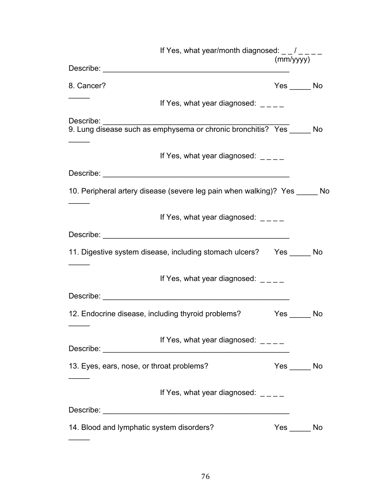|                                           | If Yes, what year/month diagnosed: $\frac{1}{2}$ / $\frac{1}{2}$ =                  | (mm/yyyy)    |  |
|-------------------------------------------|-------------------------------------------------------------------------------------|--------------|--|
|                                           |                                                                                     |              |  |
| 8. Cancer?                                |                                                                                     | $Yes \_\_No$ |  |
|                                           | If Yes, what year diagnosed: $\frac{1}{2}$                                          |              |  |
| Describe:                                 | Describe.<br>9. Lung disease such as emphysema or chronic bronchitis? Yes ______ No |              |  |
|                                           | If Yes, what year diagnosed: $\frac{1}{2}$                                          |              |  |
|                                           |                                                                                     |              |  |
|                                           | 10. Peripheral artery disease (severe leg pain when walking)? Yes _____ No          |              |  |
|                                           | If Yes, what year diagnosed:                                                        |              |  |
|                                           |                                                                                     |              |  |
|                                           | 11. Digestive system disease, including stomach ulcers? Yes _____ No                |              |  |
|                                           | If Yes, what year diagnosed: $\frac{1}{2}$                                          |              |  |
|                                           |                                                                                     |              |  |
|                                           | 12. Endocrine disease, including thyroid problems?                                  | $Yes$ No     |  |
|                                           | If Yes, what year diagnosed: $\angle$ _ _ _                                         |              |  |
|                                           |                                                                                     |              |  |
| 13. Eyes, ears, nose, or throat problems? |                                                                                     | $Yes$ No     |  |
|                                           | If Yes, what year diagnosed: $\frac{1}{2}$ = $\frac{1}{2}$                          |              |  |
|                                           |                                                                                     |              |  |
| 14. Blood and lymphatic system disorders? |                                                                                     | $Yes \_\_No$ |  |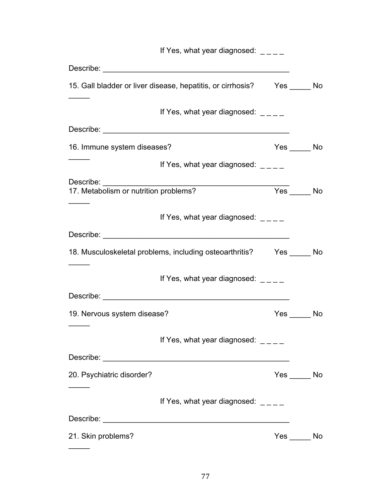|                             | If Yes, what year diagnosed: $\qquad \qquad -$                            |          |          |
|-----------------------------|---------------------------------------------------------------------------|----------|----------|
|                             |                                                                           |          |          |
|                             | 15. Gall bladder or liver disease, hepatitis, or cirrhosis? Yes ______ No |          |          |
|                             | If Yes, what year diagnosed: $\frac{1}{2}$                                |          |          |
|                             |                                                                           |          |          |
| 16. Immune system diseases? |                                                                           |          | $Yes$ No |
|                             | If Yes, what year diagnosed: $\frac{1}{2}$                                |          |          |
|                             |                                                                           | $Yes$ No |          |
|                             | If Yes, what year diagnosed: $\frac{1}{2}$                                |          |          |
|                             |                                                                           |          |          |
|                             | 18. Musculoskeletal problems, including osteoarthritis? Yes _____ No      |          |          |
|                             | If Yes, what year diagnosed:                                              |          |          |
|                             |                                                                           |          |          |
| 19. Nervous system disease? |                                                                           |          | $Yes$ No |
|                             | If Yes, what year diagnosed: $\frac{1}{2}$                                |          |          |
|                             |                                                                           |          |          |
| 20. Psychiatric disorder?   |                                                                           |          | $Yes$ No |
|                             | If Yes, what year diagnosed: $\frac{1}{2}$                                |          |          |
|                             |                                                                           |          |          |
| 21. Skin problems?          |                                                                           |          | $Yes$ No |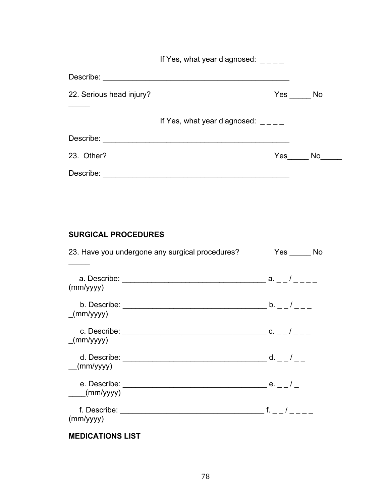If Yes, what year diagnosed:  $\angle$ 

| Describe:                |                                             |
|--------------------------|---------------------------------------------|
| 22. Serious head injury? | Yes<br><b>No</b>                            |
|                          | If Yes, what year diagnosed: $\angle$ _ _ _ |
| Describe:                |                                             |
| 23. Other?               | Yes<br>No                                   |
| Describe:                |                                             |

### **SURGICAL PROCEDURES**

| 23. Have you undergone any surgical procedures? | Yes No                   |
|-------------------------------------------------|--------------------------|
| (mm/yyyy)                                       | ___ a. _ _ / _ _ _ _     |
| (mm/yyyy)                                       | $\lfloor 0.22/2 \rfloor$ |
| c. Describe: ______<br>(mm/yyyy)                | $C. = -1$                |
| d. Describe: \\square\<br>(mm/yyyy)             | $d. = -1$                |
| e. Describe: <u>exernal</u><br>(mm/yyyy)        | $e.$ $ /$ $-$            |
| (mm/yyyy)                                       | $f.$ /                   |
|                                                 |                          |

### **MEDICATIONS LIST**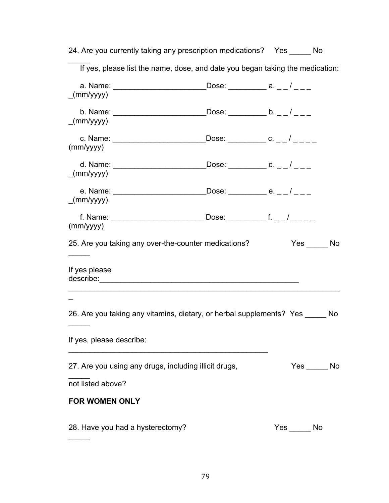|                          | 24. Are you currently taking any prescription medications? Yes _____ No       |                                 |              |                |
|--------------------------|-------------------------------------------------------------------------------|---------------------------------|--------------|----------------|
|                          | If yes, please list the name, dose, and date you began taking the medication: |                                 |              |                |
| (mm/yyyy)                |                                                                               | Dose: __________ a. _ _ / _ _ _ |              |                |
| (mm/yyyy)                |                                                                               |                                 |              |                |
| (mm/yyyy)                |                                                                               |                                 |              |                |
| (mm/yyyy)                |                                                                               |                                 |              |                |
| (mm/yyyy)                |                                                                               |                                 |              |                |
| (mm/yyyy)                |                                                                               |                                 |              |                |
|                          | 25. Are you taking any over-the-counter medications?                          |                                 |              | $Yes \_\_No$   |
| If yes please            |                                                                               |                                 |              |                |
|                          |                                                                               |                                 |              |                |
|                          | 26. Are you taking any vitamins, dietary, or herbal supplements? Yes ______   |                                 |              | N <sub>o</sub> |
| If yes, please describe: |                                                                               |                                 |              |                |
|                          | 27. Are you using any drugs, including illicit drugs,                         |                                 |              | $Yes \_\_No$   |
| not listed above?        |                                                                               |                                 |              |                |
| <b>FOR WOMEN ONLY</b>    |                                                                               |                                 |              |                |
|                          | 28. Have you had a hysterectomy?                                              |                                 | $Yes \_\_No$ |                |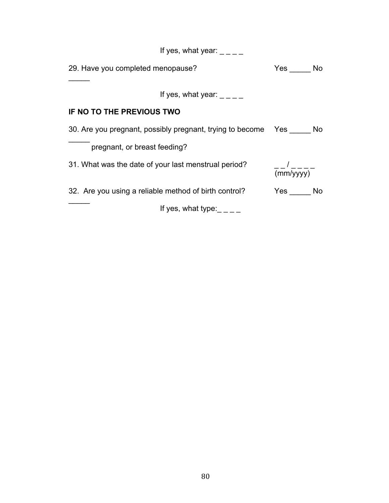| If yes, what year:                                               |                       |
|------------------------------------------------------------------|-----------------------|
| 29. Have you completed menopause?                                | $Yes \_\_No$          |
| If yes, what year:                                               |                       |
| IF NO TO THE PREVIOUS TWO                                        |                       |
| 30. Are you pregnant, possibly pregnant, trying to become Yes No |                       |
| pregnant, or breast feeding?                                     |                       |
| 31. What was the date of your last menstrual period?             | $\frac{-1}{(mm/yyy)}$ |
| 32. Are you using a reliable method of birth control?            | $Yes \_\_No$          |
| If yes, what type:                                               |                       |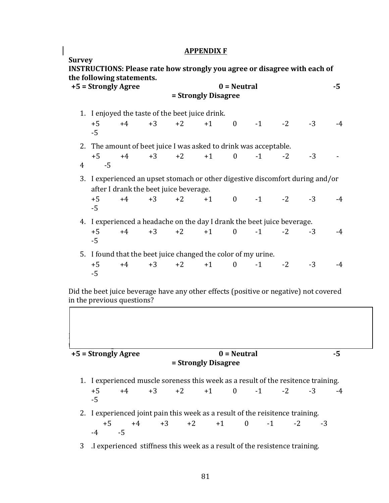#### **APPENDIX F**

**Survey INSTRUCTIONS: Please rate how strongly you agree or disagree with each of the following statements.**  $+5 =$  Strongly Agree  $0 =$  Neutral  $-5 =$ **= Strongly Disagree** 1. I enjoved the taste of the beet juice drink. +5 +4 +3 +2 +1 0 -1 -2 -3 -4 -5 2. The amount of beet juice I was asked to drink was acceptable. +5 +4 +3 +2 +1 0 -1 -2 -3 - $4 \quad -5$ 3. I experienced an upset stomach or other digestive discomfort during and/or after I drank the beet juice beverage. +5 +4 +3 +2 +1 0 -1 -2 -3 -4 -5 4. I experienced a headache on the day I drank the beet juice beverage. +5 +4 +3 +2 +1 0 -1 -2 -3 -4 -5 5. I found that the beet juice changed the color of my urine. +5 +4 +3 +2 +1 0 -1 -2 -3 -4 -5 

Did the beet juice beverage have any other effects (positive or negative) not covered in the previous questions?

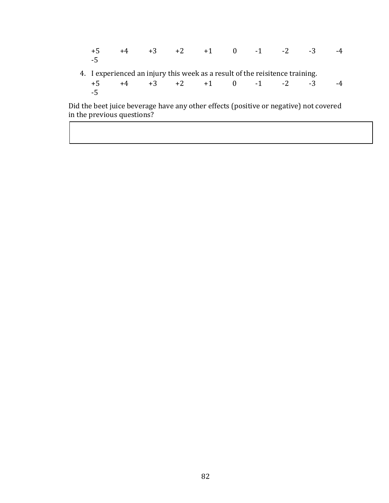+5 +4 +3 +2 +1 0 -1 -2 -3 -4 -5 4. I experienced an injury this week as a result of the reisitence training. +5 +4 +3 +2 +1 0 -1 -2 -3 -4 -5 

Did the beet juice beverage have any other effects (positive or negative) not covered in the previous questions?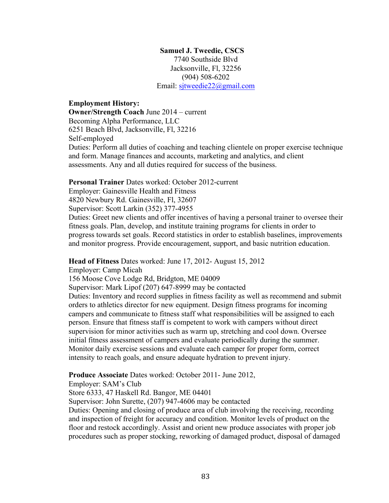#### **Samuel J. Tweedie, CSCS**

7740 Southside Blvd Jacksonville, Fl, 32256 (904) 508-6202 Email: sjtweedie22@gmail.com

#### **Employment History:**

**Owner/Strength Coach** June 2014 – current Becoming Alpha Performance, LLC 6251 Beach Blvd, Jacksonville, Fl, 32216 Self-employed Duties: Perform all duties of coaching and teaching clientele on proper exercise technique and form. Manage finances and accounts, marketing and analytics, and client assessments. Any and all duties required for success of the business.

#### **Personal Trainer** Dates worked: October 2012-current

Employer: Gainesville Health and Fitness

4820 Newbury Rd. Gainesville, Fl, 32607

Supervisor: Scott Larkin (352) 377-4955

Duties: Greet new clients and offer incentives of having a personal trainer to oversee their fitness goals. Plan, develop, and institute training programs for clients in order to progress towards set goals. Record statistics in order to establish baselines, improvements and monitor progress. Provide encouragement, support, and basic nutrition education.

**Head of Fitness** Dates worked: June 17, 2012- August 15, 2012

Employer: Camp Micah

156 Moose Cove Lodge Rd, Bridgton, ME 04009

Supervisor: Mark Lipof (207) 647-8999 may be contacted

Duties: Inventory and record supplies in fitness facility as well as recommend and submit orders to athletics director for new equipment. Design fitness programs for incoming campers and communicate to fitness staff what responsibilities will be assigned to each person. Ensure that fitness staff is competent to work with campers without direct supervision for minor activities such as warm up, stretching and cool down. Oversee initial fitness assessment of campers and evaluate periodically during the summer. Monitor daily exercise sessions and evaluate each camper for proper form, correct intensity to reach goals, and ensure adequate hydration to prevent injury.

**Produce Associate** Dates worked: October 2011- June 2012,

Employer: SAM's Club

Store 6333, 47 Haskell Rd. Bangor, ME 04401

Supervisor: John Surette, (207) 947-4606 may be contacted

Duties: Opening and closing of produce area of club involving the receiving, recording and inspection of freight for accuracy and condition. Monitor levels of product on the floor and restock accordingly. Assist and orient new produce associates with proper job procedures such as proper stocking, reworking of damaged product, disposal of damaged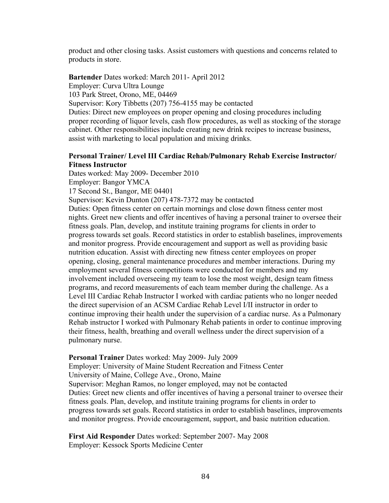product and other closing tasks. Assist customers with questions and concerns related to products in store.

**Bartender** Dates worked: March 2011- April 2012 Employer: Curva Ultra Lounge 103 Park Street, Orono, ME, 04469 Supervisor: Kory Tibbetts (207) 756-4155 may be contacted Duties: Direct new employees on proper opening and closing procedures including proper recording of liquor levels, cash flow procedures, as well as stocking of the storage cabinet. Other responsibilities include creating new drink recipes to increase business, assist with marketing to local population and mixing drinks.

#### **Personal Trainer/ Level III Cardiac Rehab/Pulmonary Rehab Exercise Instructor/ Fitness Instructor**

Dates worked: May 2009- December 2010

Employer: Bangor YMCA

17 Second St., Bangor, ME 04401

Supervisor: Kevin Dunton (207) 478-7372 may be contacted

Duties: Open fitness center on certain mornings and close down fitness center most nights. Greet new clients and offer incentives of having a personal trainer to oversee their fitness goals. Plan, develop, and institute training programs for clients in order to progress towards set goals. Record statistics in order to establish baselines, improvements and monitor progress. Provide encouragement and support as well as providing basic nutrition education. Assist with directing new fitness center employees on proper opening, closing, general maintenance procedures and member interactions. During my employment several fitness competitions were conducted for members and my involvement included overseeing my team to lose the most weight, design team fitness programs, and record measurements of each team member during the challenge. As a Level III Cardiac Rehab Instructor I worked with cardiac patients who no longer needed the direct supervision of an ACSM Cardiac Rehab Level I/II instructor in order to continue improving their health under the supervision of a cardiac nurse. As a Pulmonary Rehab instructor I worked with Pulmonary Rehab patients in order to continue improving their fitness, health, breathing and overall wellness under the direct supervision of a pulmonary nurse.

#### **Personal Trainer** Dates worked: May 2009- July 2009

Employer: University of Maine Student Recreation and Fitness Center University of Maine, College Ave., Orono, Maine Supervisor: Meghan Ramos, no longer employed, may not be contacted Duties: Greet new clients and offer incentives of having a personal trainer to oversee their fitness goals. Plan, develop, and institute training programs for clients in order to progress towards set goals. Record statistics in order to establish baselines, improvements and monitor progress. Provide encouragement, support, and basic nutrition education.

**First Aid Responder** Dates worked: September 2007- May 2008 Employer: Kessock Sports Medicine Center